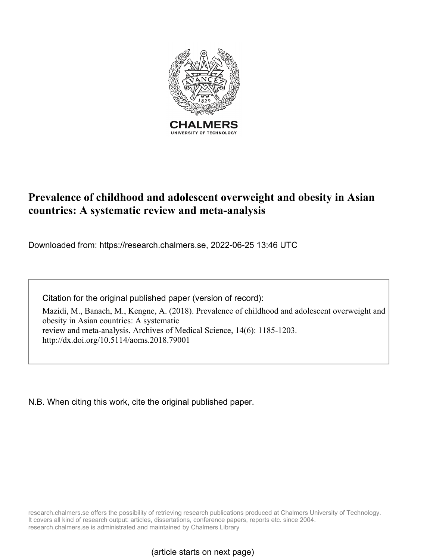

# **Prevalence of childhood and adolescent overweight and obesity in Asian countries: A systematic review and meta-analysis**

Downloaded from: https://research.chalmers.se, 2022-06-25 13:46 UTC

Citation for the original published paper (version of record):

Mazidi, M., Banach, M., Kengne, A. (2018). Prevalence of childhood and adolescent overweight and obesity in Asian countries: A systematic review and meta-analysis. Archives of Medical Science, 14(6): 1185-1203. http://dx.doi.org/10.5114/aoms.2018.79001

N.B. When citing this work, cite the original published paper.

research.chalmers.se offers the possibility of retrieving research publications produced at Chalmers University of Technology. It covers all kind of research output: articles, dissertations, conference papers, reports etc. since 2004. research.chalmers.se is administrated and maintained by Chalmers Library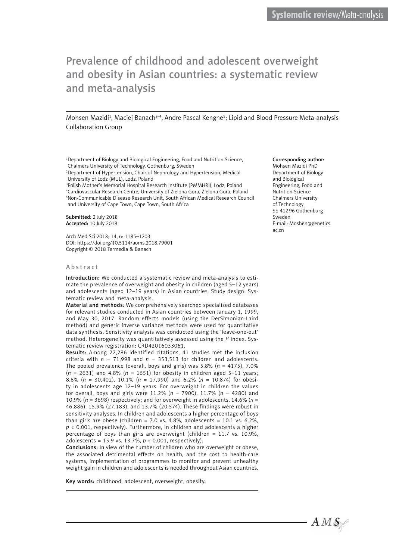# Prevalence of childhood and adolescent overweight and obesity in Asian countries: a systematic review and meta-analysis

Mohsen Mazidi<sup>1</sup>, Maciej Banach<sup>2-4</sup>, Andre Pascal Kengne<sup>s</sup>; Lipid and Blood Pressure Meta-analysis Collaboration Group

1 Department of Biology and Biological Engineering, Food and Nutrition Science, Chalmers University of Technology, Gothenburg, Sweden

2 Department of Hypertension, Chair of Nephrology and Hypertension, Medical University of Lodz (MUL), Lodz, Poland

 Polish Mother's Memorial Hospital Research Institute (PMMHRI), Lodz, Poland Cardiovascular Research Centre, University of Zielona Gora, Zielona Gora, Poland Non-Communicable Disease Research Unit, South African Medical Research Council and University of Cape Town, Cape Town, South Africa

Submitted: 2 July 2018 Accepted: 10 July 2018

Arch Med Sci 2018; 14, 6: 1185–1203 DOI: https://doi.org/10.5114/aoms.2018.79001 Copyright © 2018 Termedia & Banach

#### Abstract

Introduction: We conducted a systematic review and meta-analysis to estimate the prevalence of overweight and obesity in children (aged 5–12 years) and adolescents (aged 12–19 years) in Asian countries. Study design: Systematic review and meta-analysis.

Material and methods: We comprehensively searched specialised databases for relevant studies conducted in Asian countries between January 1, 1999, and May 30, 2017. Random effects models (using the DerSimonian-Laird method) and generic inverse variance methods were used for quantitative data synthesis. Sensitivity analysis was conducted using the 'leave-one-out' method. Heterogeneity was quantitatively assessed using the  $I<sup>2</sup>$  index. Systematic review registration: CRD42016033061.

Results: Among 22,286 identified citations, 41 studies met the inclusion criteria with  $n = 71,998$  and  $n = 353,513$  for children and adolescents. The pooled prevalence (overall, boys and girls) was 5.8% (*n* = 4175), 7.0% (*n* = 2631) and 4.8% (*n* = 1651) for obesity in children aged 5–11 years; 8.6% (*n* = 30,402), 10.1% (*n* = 17,990) and 6.2% (*n* = 10,874) for obesity in adolescents age 12–19 years. For overweight in children the values for overall, boys and girls were 11.2% (*n* = 7900), 11.7% (*n* = 4280) and 10.9% (*n* = 3698) respectively; and for overweight in adolescents, 14.6% (*n* = 46,886), 15.9% (27,183), and 13.7% (20,574). These findings were robust in sensitivity analyses. In children and adolescents a higher percentage of boys than girls are obese (children = 7.0 vs. 4.8%, adolescents =  $10.1$  vs. 6.2%, *p* < 0.001, respectively). Furthermore, in children and adolescents a higher percentage of boys than girls are overweight (children = 11.7 vs. 10.9%, adolescents = 15.9 vs. 13.7%, *p* < 0.001, respectively).

Conclusions: In view of the number of children who are overweight or obese, the associated detrimental effects on health, and the cost to health-care systems, implementation of programmes to monitor and prevent unhealthy weight gain in children and adolescents is needed throughout Asian countries.

Key words: childhood, adolescent, overweight, obesity.

#### Corresponding author:

Mohsen Mazidi PhD Department of Biology and Biological Engineering, Food and Nutrition Science Chalmers University of Technology SE-41296 Gothenburg Sweden E-mail: Moshen@genetics. ac.cn

 $A M S$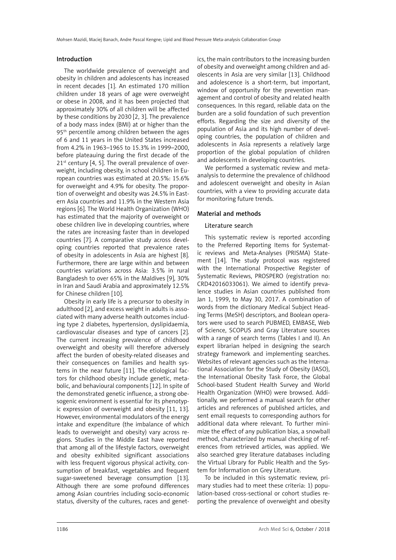#### Introduction

The worldwide prevalence of overweight and obesity in children and adolescents has increased in recent decades [1]. An estimated 170 million children under 18 years of age were overweight or obese in 2008, and it has been projected that approximately 30% of all children will be affected by these conditions by 2030 [2, 3]. The prevalence of a body mass index (BMI) at or higher than the 95<sup>th</sup> percentile among children between the ages of 6 and 11 years in the United States increased from 4.2% in 1963–1965 to 15.3% in 1999–2000, before plateauing during the first decade of the  $21<sup>st</sup>$  century [4, 5]. The overall prevalence of overweight, including obesity, in school children in European countries was estimated at 20.5%: 15.6% for overweight and 4.9% for obesity. The proportion of overweight and obesity was 24.5% in Eastern Asia countries and 11.9% in the Western Asia regions [6]. The World Health Organization (WHO) has estimated that the majority of overweight or obese children live in developing countries, where the rates are increasing faster than in developed countries [7]. A comparative study across developing countries reported that prevalence rates of obesity in adolescents in Asia are highest [8]. Furthermore, there are large within and between countries variations across Asia: 3.5% in rural Bangladesh to over 65% in the Maldives [9], 30% in Iran and Saudi Arabia and approximately 12.5% for Chinese children [10].

Obesity in early life is a precursor to obesity in adulthood [2], and excess weight in adults is associated with many adverse health outcomes including type 2 diabetes, hypertension, dyslipidaemia, cardiovascular diseases and type of cancers [2]. The current increasing prevalence of childhood overweight and obesity will therefore adversely affect the burden of obesity-related diseases and their consequences on families and health systems in the near future [11]. The etiological factors for childhood obesity include genetic, metabolic, and behavioural components [12]. In spite of the demonstrated genetic influence, a strong obesogenic environment is essential for its phenotypic expression of overweight and obesity [11, 13]. However, environmental modulators of the energy intake and expenditure (the imbalance of which leads to overweight and obesity) vary across regions. Studies in the Middle East have reported that among all of the lifestyle factors, overweight and obesity exhibited significant associations with less frequent vigorous physical activity, consumption of breakfast, vegetables and frequent sugar-sweetened beverage consumption [13]. Although there are some profound differences among Asian countries including socio-economic status, diversity of the cultures, races and genetics, the main contributors to the increasing burden of obesity and overweight among children and adolescents in Asia are very similar [13]. Childhood and adolescence is a short-term, but important, window of opportunity for the prevention management and control of obesity and related health consequences. In this regard, reliable data on the burden are a solid foundation of such prevention efforts. Regarding the size and diversity of the population of Asia and its high number of developing countries, the population of children and adolescents in Asia represents a relatively large proportion of the global population of children and adolescents in developing countries.

We performed a systematic review and metaanalysis to determine the prevalence of childhood and adolescent overweight and obesity in Asian countries, with a view to providing accurate data for monitoring future trends.

# Material and methods

### Literature search

This systematic review is reported according to the Preferred Reporting Items for Systematic reviews and Meta-Analyses (PRISMA) Statement [14]. The study protocol was registered with the International Prospective Register of Systematic Reviews, PROSPERO (registration no: CRD42016033061). We aimed to identify prevalence studies in Asian countries published from Jan 1, 1999, to May 30, 2017. A combination of words from the dictionary Medical Subject Heading Terms (MeSH) descriptors, and Boolean operators were used to search PUBMED, EMBASE, Web of Science, SCOPUS and Gray Literature sources with a range of search terms (Tables I and II). An expert librarian helped in designing the search strategy framework and implementing searches. Websites of relevant agencies such as the International Association for the Study of Obesity (IASO), the International Obesity Task Force, the Global School-based Student Health Survey and World Health Organization (WHO) were browsed. Additionally, we performed a manual search for other articles and references of published articles, and sent email requests to corresponding authors for additional data where relevant. To further minimize the effect of any publication bias, a snowball method, characterized by manual checking of references from retrieved articles, was applied. We also searched grey literature databases including the Virtual Library for Public Health and the System for Information on Grey Literature.

To be included in this systematic review, primary studies had to meet these criteria: 1) population-based cross-sectional or cohort studies reporting the prevalence of overweight and obesity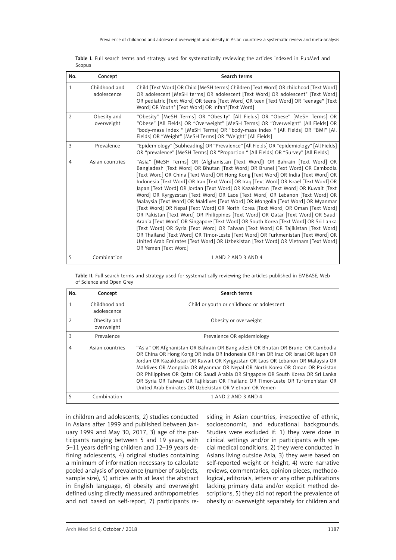|        |  |  |  | Table I. Full search terms and strategy used for systematically reviewing the articles indexed in PubMed and |  |  |  |  |
|--------|--|--|--|--------------------------------------------------------------------------------------------------------------|--|--|--|--|
| Scopus |  |  |  |                                                                                                              |  |  |  |  |

| No.            | Concept                      | Search terms                                                                                                                                                                                                                                                                                                                                                                                                                                                                                                                                                                                                                                                                                                                                                                                                                                                                                                                                                                                                                                                                                                                                             |
|----------------|------------------------------|----------------------------------------------------------------------------------------------------------------------------------------------------------------------------------------------------------------------------------------------------------------------------------------------------------------------------------------------------------------------------------------------------------------------------------------------------------------------------------------------------------------------------------------------------------------------------------------------------------------------------------------------------------------------------------------------------------------------------------------------------------------------------------------------------------------------------------------------------------------------------------------------------------------------------------------------------------------------------------------------------------------------------------------------------------------------------------------------------------------------------------------------------------|
| $\mathbf{1}$   | Childhood and<br>adolescence | Child [Text Word] OR Child [MeSH terms] Children [Text Word] OR childhood [Text Word]<br>OR adolescent [MeSH terms] OR adolescent [Text Word] OR adolescent* [Text Word]<br>OR pediatric [Text Word] OR teens [Text Word] OR teen [Text Word] OR Teenage* [Text<br>Word] OR Youth* [Text Word] OR Infan*[Text Word]                                                                                                                                                                                                                                                                                                                                                                                                                                                                                                                                                                                                                                                                                                                                                                                                                                      |
| $\overline{2}$ | Obesity and<br>overweight    | "Obesity" [MeSH Terms] OR "Obesity" [All Fields] OR "Obese" [MeSH Terms] OR<br>"Obese" [All Fields] OR "Overweight" [MeSH Terms] OR "Overweight" [All Fields] OR<br>"body-mass index " [MeSH Terms] OR "body-mass index " [All Fields] OR "BMI" [All<br>Fields] OR "Weight" [MeSH Terms] OR "Weight" [All Fields]                                                                                                                                                                                                                                                                                                                                                                                                                                                                                                                                                                                                                                                                                                                                                                                                                                        |
| 3              | Prevalence                   | "Epidemiology" [Subheading] OR "Prevalence" [All Fields] OR "epidemiology" [All Fields]<br>OR "prevalence" [MeSH Terms] OR "Proportion " [All Fields] OR "Survey" [All Fields]                                                                                                                                                                                                                                                                                                                                                                                                                                                                                                                                                                                                                                                                                                                                                                                                                                                                                                                                                                           |
| $\overline{4}$ | Asian countries              | "Asia" [MeSH Terms] OR (Afghanistan [Text Word]) OR Bahrain [Text Word] OR<br>Bangladesh [Text Word] OR Bhutan [Text Word] OR Brunei [Text Word] OR Cambodia<br>[Text Word] OR China [Text Word] OR Hong Kong [Text Word] OR India [Text Word] OR<br>Indonesia [Text Word] OR Iran [Text Word] OR Iraq [Text Word] OR Israel [Text Word] OR<br>Japan [Text Word] OR Jordan [Text Word] OR Kazakhstan [Text Word] OR Kuwait [Text<br>Word] OR Kyrgyzstan [Text Word] OR Laos [Text Word] OR Lebanon [Text Word] OR<br>Malaysia [Text Word] OR Maldives [Text Word] OR Mongolia [Text Word] OR Myanmar<br>[Text Word] OR Nepal [Text Word] OR North Korea [Text Word] OR Oman [Text Word]<br>OR Pakistan [Text Word] OR Philippines [Text Word] OR Qatar [Text Word] OR Saudi<br>Arabia [Text Word] OR Singapore [Text Word] OR South Korea [Text Word] OR Sri Lanka<br>[Text Word] OR Syria [Text Word] OR Taiwan [Text Word] OR Tajikistan [Text Word]<br>OR Thailand [Text Word] OR Timor-Leste [Text Word] OR Turkmenistan [Text Word] OR<br>United Arab Emirates [Text Word] OR Uzbekistan [Text Word] OR Vietnam [Text Word]<br>OR Yemen [Text Word] |
| 5              | Combination                  | 1 AND 2 AND 3 AND 4                                                                                                                                                                                                                                                                                                                                                                                                                                                                                                                                                                                                                                                                                                                                                                                                                                                                                                                                                                                                                                                                                                                                      |

Table II. Full search terms and strategy used for systematically reviewing the articles published in EMBASE, Web of Science and Open Grey

| No.           | Concept                      | Search terms                                                                                                                                                                                                                                                                                                                                                                                                                                                                                                                                                         |
|---------------|------------------------------|----------------------------------------------------------------------------------------------------------------------------------------------------------------------------------------------------------------------------------------------------------------------------------------------------------------------------------------------------------------------------------------------------------------------------------------------------------------------------------------------------------------------------------------------------------------------|
|               | Childhood and<br>adolescence | Child or youth or childhood or adolescent                                                                                                                                                                                                                                                                                                                                                                                                                                                                                                                            |
| $\mathcal{P}$ | Obesity and<br>overweight    | Obesity or overweight                                                                                                                                                                                                                                                                                                                                                                                                                                                                                                                                                |
| 3             | Prevalence                   | Prevalence OR epidemiology                                                                                                                                                                                                                                                                                                                                                                                                                                                                                                                                           |
| 4             | Asian countries              | "Asia" OR Afghanistan OR Bahrain OR Bangladesh OR Bhutan OR Brunei OR Cambodia<br>OR China OR Hong Kong OR India OR Indonesia OR Iran OR Iraq OR Israel OR Japan OR<br>Jordan OR Kazakhstan OR Kuwait OR Kyrgyzstan OR Laos OR Lebanon OR Malaysia OR<br>Maldives OR Mongolia OR Myanmar OR Nepal OR North Korea OR Oman OR Pakistan<br>OR Philippines OR Qatar OR Saudi Arabia OR Singapore OR South Korea OR Sri Lanka<br>OR Syria OR Taiwan OR Tajikistan OR Thailand OR Timor-Leste OR Turkmenistan OR<br>United Arab Emirates OR Uzbekistan OR Vietnam OR Yemen |
| 5             | Combination                  | 1 AND 2 AND 3 AND 4                                                                                                                                                                                                                                                                                                                                                                                                                                                                                                                                                  |

in children and adolescents, 2) studies conducted in Asians after 1999 and published between January 1999 and May 30, 2017, 3) age of the participants ranging between 5 and 19 years, with 5–11 years defining children and 12–19 years defining adolescents, 4) original studies containing a minimum of information necessary to calculate pooled analysis of prevalence (number of subjects, sample size), 5) articles with at least the abstract in English language, 6) obesity and overweight defined using directly measured anthropometries and not based on self-report, 7) participants re-

siding in Asian countries, irrespective of ethnic, socioeconomic, and educational backgrounds. Studies were excluded if: 1) they were done in clinical settings and/or in participants with special medical conditions, 2) they were conducted in Asians living outside Asia, 3) they were based on self-reported weight or height, 4) were narrative reviews, commentaries, opinion pieces, methodological, editorials, letters or any other publications lacking primary data and/or explicit method descriptions, 5) they did not report the prevalence of obesity or overweight separately for children and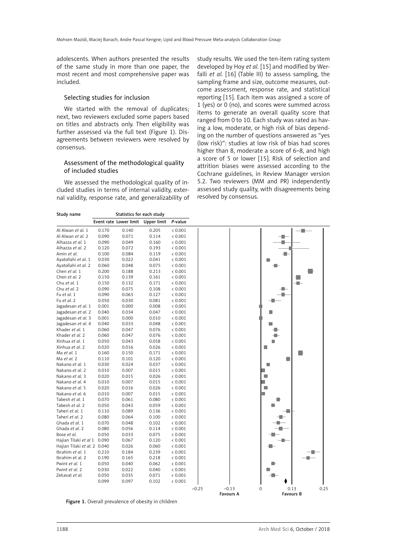adolescents. When authors presented the results of the same study in more than one paper, the most recent and most comprehensive paper was included.

### Selecting studies for inclusion

We started with the removal of duplicates; next, two reviewers excluded some papers based on titles and abstracts only. Then eligibility was further assessed via the full text (Figure 1). Disagreements between reviewers were resolved by consensus.

### Assessment of the methodological quality of included studies

We assessed the methodological quality of included studies in terms of internal validity, external validity, response rate, and generalizability of study results. We used the ten-item rating system developed by Hoy *et al.* [15] and modified by Werfalli *et al.* [16] (Table III) to assess sampling, the sampling frame and size, outcome measures, outcome assessment, response rate, and statistical reporting [15]. Each item was assigned a score of 1 (yes) or 0 (no), and scores were summed across items to generate an overall quality score that ranged from 0 to 10. Each study was rated as having a low, moderate, or high risk of bias depending on the number of questions answered as "yes (low risk)": studies at low risk of bias had scores higher than 8, moderate a score of 6–8, and high a score of 5 or lower [15]. Risk of selection and attrition biases were assessed according to the Cochrane guidelines, in Review Manager version 5.2. Two reviewers (MM and PR) independently assessed study quality, with disagreements being resolved by consensus.

| Study name                         |                | Statistics for each study |                                    |                    |         |                  |                        |
|------------------------------------|----------------|---------------------------|------------------------------------|--------------------|---------|------------------|------------------------|
|                                    |                |                           | Event rate Lower limit Upper limit | P-value            |         |                  |                        |
| Al Alwan et al. 1                  | 0.170          | 0.140                     | 0.205                              | < 0.001            |         |                  |                        |
| Al Alwan et al. 2                  | 0.090          | 0.071                     | 0.114                              | < 0.001            |         |                  |                        |
| Alhazza et al. 1                   | 0.090          | 0.049                     | 0.160                              | < 0.001            |         |                  |                        |
| Alhazza et al. 2                   | 0.120          | 0.072                     | 0.193                              | < 0.001            |         |                  |                        |
| Amin et al.                        | 0.100          | 0.084                     | 0.119                              | < 0.001            |         |                  |                        |
| Ayatollahi et al. 1                | 0.030          | 0.022                     | 0.041                              | < 0.001            |         |                  |                        |
| Ayatollahi et al. 2                | 0.060          | 0.048                     | 0.075                              | < 0.001            |         |                  |                        |
| Chen et al. 1                      | 0.200          | 0.188                     | 0.213                              | < 0.001            |         |                  |                        |
| Chen et al. 2                      | 0.150          | 0.139                     | 0.161                              | < 0.001            |         |                  |                        |
| Chu et al. 1                       | 0.150          | 0.132                     | 0.171                              | < 0.001            |         |                  |                        |
| Chu et al. 2                       | 0.090          | 0.075                     | 0.108                              | < 0.001            |         |                  |                        |
| Fu et al. 1                        | 0.090          | 0.063                     | 0.127                              | < 0.001            |         |                  |                        |
| Fu et al. 2                        | 0.050          | 0.030                     | 0.081                              | < 0.001            |         |                  |                        |
| Jagadesan et al. 1                 | 0.001          | 0.000                     | 0.008                              | < 0.001            |         |                  |                        |
| Jagadesan et al. 2                 | 0.040          | 0.034                     | 0.047                              | < 0.001            |         |                  |                        |
| Jagadesan et al. 3                 | 0.001          | 0.000                     | 0.010                              | < 0.001            |         |                  |                        |
| Jagadesan et al. 4                 | 0.040          | 0.033                     | 0.048                              | < 0.001            |         |                  |                        |
| Khader et al. 1                    | 0.060          | 0.047                     | 0.076                              | < 0.001            |         |                  |                        |
| Khader et al. 2                    | 0.060          | 0.047                     | 0.076                              | < 0.001            |         |                  |                        |
| Xinhua et al. 1                    | 0.050          | 0.043                     | 0.058                              | < 0.001            |         |                  |                        |
| Xinhua et al. 2                    | 0.020          | 0.016                     | 0.026                              | < 0.001            |         |                  |                        |
| Ma et al. 1                        | 0.160          | 0.150                     | 0.171                              | < 0.001            |         |                  |                        |
| Ma et al. 2                        | 0.110          | 0.101                     | 0.120                              | < 0.001            |         |                  |                        |
| Nakano et al. 1                    | 0.030          | 0.024                     | 0.037                              | < 0.001            |         |                  |                        |
| Nakano et al. 2                    | 0.010          | 0.007                     | 0.015                              | < 0.001            |         |                  |                        |
| Nakano et al. 3                    | 0.020          | 0.015                     | 0.026                              | < 0.001            |         |                  |                        |
| Nakano et al. 4                    | 0.010          | 0.007                     | 0.015                              | < 0.001            |         |                  |                        |
| Nakano et al. 5                    | 0.020          | 0.016                     | 0.026                              | < 0.001            |         |                  |                        |
| Nakano et al. 6                    |                | 0.007                     |                                    |                    |         |                  |                        |
| Tabesh et al. 1                    | 0.010<br>0.070 | 0.061                     | 0.015<br>0.080                     | < 0.001<br>< 0.001 |         |                  |                        |
| Tabesh et al. 2                    | 0.050          |                           | 0.059                              |                    |         |                  |                        |
|                                    |                | 0.043                     |                                    | < 0.001            |         |                  |                        |
| Taheri et al. 1<br>Taheri et al. 2 | 0.110          | 0.089                     | 0.136                              | < 0.001            |         |                  |                        |
|                                    | 0.080          | 0.064                     | 0.100                              | < 0.001            |         |                  |                        |
| Ghada et al. 1                     | 0.070          | 0.048                     | 0.102                              | < 0.001            |         |                  |                        |
| Ghada et al. 2                     | 0.080          | 0.056                     | 0.114                              | < 0.001            |         |                  |                        |
| Bose et al.                        | 0.050          | 0.033                     | 0.075                              | < 0.001            |         |                  |                        |
| Hajian Tilaki et al 1              | 0.090          | 0.067                     | 0.120                              | < 0.001            |         |                  |                        |
| Hajian Tilaki et al. 2 0.040       |                | 0.026                     | 0.060                              | < 0.001            |         |                  |                        |
| Ibrahim et al. 1                   | 0.210          | 0.184                     | 0.239                              | < 0.001            |         |                  |                        |
| Ibrahim et al. 2                   | 0.190          | 0.165                     | 0.218                              | < 0.001            |         |                  |                        |
| Pwint et al. 1                     | 0.050          | 0.040                     | 0.062                              | < 0.001            |         |                  |                        |
| Pwint et al. 2                     | 0.030          | 0.022                     | 0.040                              | < 0.001            |         |                  |                        |
| Zekavat et al.                     | 0.050          | 0.035                     | 0.071                              | < 0.001            |         |                  |                        |
|                                    | 0.099          | 0.097                     | 0.102                              | < 0.001            |         |                  |                        |
|                                    |                |                           |                                    |                    | $-0.25$ | $-0.13$          | $\overline{O}$<br>0.13 |
|                                    |                |                           |                                    |                    |         | <b>Favours A</b> | <b>Favours B</b>       |

Figure 1. Overall prevalence of obesity in children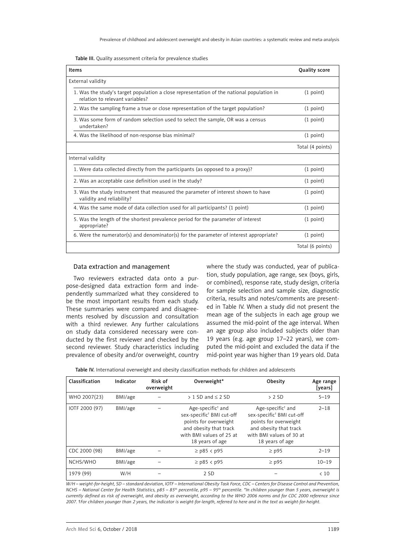Table III. Quality assessment criteria for prevalence studies

| <b>Items</b>                                                                                                                 | Quality score    |
|------------------------------------------------------------------------------------------------------------------------------|------------------|
| External validity                                                                                                            |                  |
| 1. Was the study's target population a close representation of the national population in<br>relation to relevant variables? | $(1$ point)      |
| 2. Was the sampling frame a true or close representation of the target population?                                           | $(1$ point)      |
| 3. Was some form of random selection used to select the sample, OR was a census<br>undertaken?                               | $(1$ point)      |
| 4. Was the likelihood of non-response bias minimal?                                                                          | $(1$ point)      |
|                                                                                                                              | Total (4 points) |
| Internal validity                                                                                                            |                  |
| 1. Were data collected directly from the participants (as opposed to a proxy)?                                               | (1 point)        |
| 2. Was an acceptable case definition used in the study?                                                                      | (1 point)        |
| 3. Was the study instrument that measured the parameter of interest shown to have<br>validity and reliability?               | $(1$ point)      |
| 4. Was the same mode of data collection used for all participants? (1 point)                                                 | (1 point)        |
| 5. Was the length of the shortest prevalence period for the parameter of interest<br>appropriate?                            | $(1$ point)      |
| 6. Were the numerator(s) and denominator(s) for the parameter of interest appropriate?                                       | (1 point)        |
|                                                                                                                              | Total (6 points) |

# Data extraction and management

Two reviewers extracted data onto a purpose-designed data extraction form and independently summarized what they considered to be the most important results from each study. These summaries were compared and disagreements resolved by discussion and consultation with a third reviewer. Any further calculations on study data considered necessary were conducted by the first reviewer and checked by the second reviewer. Study characteristics including prevalence of obesity and/or overweight, country

where the study was conducted, year of publication, study population, age range, sex (boys, girls, or combined), response rate, study design, criteria for sample selection and sample size, diagnostic criteria, results and notes/comments are presented in Table IV. When a study did not present the mean age of the subjects in each age group we assumed the mid-point of the age interval. When an age group also included subjects older than 19 years (e.g. age group 17–22 years), we computed the mid-point and excluded the data if the mid-point year was higher than 19 years old. Data

Table IV. International overweight and obesity classification methods for children and adolescents

| Classification | Indicator | Risk of<br>overweight | Overweight*                                                                                                                                                                                 | Obesity                                                                                                                                                                                     | Age range<br>[years] |
|----------------|-----------|-----------------------|---------------------------------------------------------------------------------------------------------------------------------------------------------------------------------------------|---------------------------------------------------------------------------------------------------------------------------------------------------------------------------------------------|----------------------|
| WHO 2007(23)   | BMI/age   |                       | $> 1$ SD and $< 2$ SD                                                                                                                                                                       | $> 2$ SD                                                                                                                                                                                    | $5 - 19$             |
| IOTF 2000 (97) | BMI/age   |                       | Age-specific <sup><math>\dagger</math></sup> and<br>sex-specific <sup>†</sup> BMI cut-off<br>points for overweight<br>and obesity that track<br>with BMI values of 25 at<br>18 years of age | Age-specific <sup><math>\dagger</math></sup> and<br>sex-specific <sup>†</sup> BMI cut-off<br>points for overweight<br>and obesity that track<br>with BMI values of 30 at<br>18 years of age | $2 - 18$             |
| CDC 2000 (98)  | BMI/age   |                       | $\ge$ p85 < p95                                                                                                                                                                             | $\ge$ p95                                                                                                                                                                                   | $2 - 19$             |
| NCHS/WHO       | BMI/age   |                       | $\ge$ p85 < p95                                                                                                                                                                             | $\ge$ p95                                                                                                                                                                                   | $10 - 19$            |
| 1979 (99)      | W/H       |                       | 2 SD                                                                                                                                                                                        |                                                                                                                                                                                             | < 10                 |

*W/H – weight-for-height, SD – standard deviation, IOTF – International Obesity Task Force, CDC – Centers for Disease Control and Prevention, NCHS – National Center for Health Statistics, p85 – 85th percentile, p95 – 95th percentile. \*In children younger than 5 years, overweight is currently defined as risk of overweight, and obesity as overweight, according to the WHO 2006 norms and for CDC 2000 reference since 2007. †For children younger than 2 years, the indicator is weight-for-length, referred to here and in the text as weight-for-height.*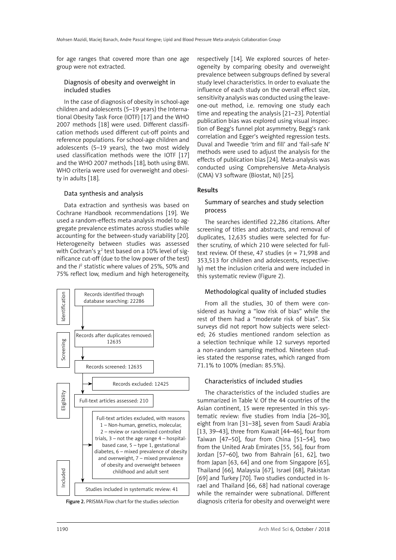for age ranges that covered more than one age group were not extracted.

# Diagnosis of obesity and overweight in included studies

In the case of diagnosis of obesity in school-age children and adolescents (5–19 years) the International Obesity Task Force (IOTF) [17] and the WHO 2007 methods [18] were used. Different classification methods used different cut-off points and reference populations. For school-age children and adolescents (5–19 years), the two most widely used classification methods were the IOTF [17] and the WHO 2007 methods [18], both using BMI. WHO criteria were used for overweight and obesity in adults [18].

## Data synthesis and analysis

Data extraction and synthesis was based on Cochrane Handbook recommendations [19]. We used a random-effects meta-analysis model to aggregate prevalence estimates across studies while accounting for the between-study variability [20]. Heterogeneity between studies was assessed with Cochran's  $\chi^2$  test based on a 10% level of significance cut-off (due to the low power of the test) and the  $l^2$  statistic where values of 25%, 50% and 75% reflect low, medium and high heterogeneity,





respectively [14]. We explored sources of heterogeneity by comparing obesity and overweight prevalence between subgroups defined by several study level characteristics. In order to evaluate the influence of each study on the overall effect size, sensitivity analysis was conducted using the leaveone-out method, i.e. removing one study each time and repeating the analysis [21–23]. Potential publication bias was explored using visual inspection of Begg's funnel plot asymmetry, Begg's rank correlation and Egger's weighted regression tests. Duval and Tweedie 'trim and fill' and 'fail-safe N' methods were used to adjust the analysis for the effects of publication bias [24]. Meta-analysis was conducted using Comprehensive Meta-Analysis (CMA) V3 software (Biostat, NJ) [25].

# Results

# Summary of searches and study selection process

The searches identified 22,286 citations. After screening of titles and abstracts, and removal of duplicates, 12,635 studies were selected for further scrutiny, of which 210 were selected for fulltext review. Of these, 47 studies  $(n = 71.998$  and 353,513 for children and adolescents, respectively) met the inclusion criteria and were included in this systematic review (Figure 2).

## Methodological quality of included studies

From all the studies, 30 of them were considered as having a "low risk of bias" while the rest of them had a "moderate risk of bias". Six surveys did not report how subjects were selected; 26 studies mentioned random selection as a selection technique while 12 surveys reported a non-random sampling method. Nineteen studies stated the response rates, which ranged from 71.1% to 100% (median: 85.5%).

## Characteristics of included studies

The characteristics of the included studies are summarized in Table V. Of the 44 countries of the Asian continent, 15 were represented in this systematic review: five studies from India [26–30], eight from Iran [31–38], seven from Saudi Arabia [13, 39–43], three from Kuwait [44–46], four from Taiwan [47–50], four from China [51–54], two from the United Arab Emirates [55, 56], four from Jordan [57–60], two from Bahrain [61, 62], two from Japan [63, 64] and one from Singapore [65], Thailand [66], Malaysia [67], Israel [68], Pakistan [69] and Turkey [70]. Two studies conducted in Israel and Thailand [66, 68] had national coverage while the remainder were subnational. Different diagnosis criteria for obesity and overweight were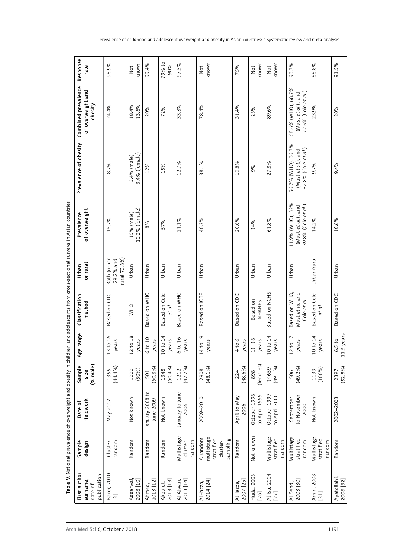| First author<br>publication<br>surname,<br>date of | Sample<br>design                                             | fieldwork<br>Date of             | (% male)<br>Sample<br>size | Age range                               | Classification<br>method                        | or rural<br>Urban                        | of overweight<br>Prevalence                                   | Prevalence of obesity                                           | Combined prevalence<br>of overweight and<br>obesity             | Response<br>rate |
|----------------------------------------------------|--------------------------------------------------------------|----------------------------------|----------------------------|-----------------------------------------|-------------------------------------------------|------------------------------------------|---------------------------------------------------------------|-----------------------------------------------------------------|-----------------------------------------------------------------|------------------|
| Baker, 2010                                        | random<br>Cluster                                            | May 2007.                        | (44.4%<br>1355             | 3 to 16<br>years                        | Based on CDC                                    | rural 70.8%)<br>Both (urban<br>29.2% and | 15.7%                                                         | 8.7%                                                            | 24.4%                                                           | 98.9%            |
| Aggarwal,<br>2008 [10]                             | Random                                                       | Not known                        | (50%)<br>1000              | 2 to 18<br>years                        | <b>OHM</b>                                      | Urban                                    | 10.2% (female)<br>15% (male)                                  | 3.4% (female)<br>$3.4%$ (male)                                  | 18.4%<br>13.6%                                                  | known<br>Not     |
| 2013 [12]<br>Ahmed,                                | Random                                                       | January 2008 to<br>June 2009     | (50.8%<br>501              | 6 to 10<br>years                        | Based on WHO                                    | Urban                                    | 8%                                                            | 12%                                                             | 20%                                                             | 99.4%            |
| 2013 [13]<br>Akbulut,                              | Random                                                       | Not known                        | (50.4%)<br>1348            | 0 to 14<br>years                        | Based on Cole<br>et al.                         | Urban                                    | 57%                                                           | 15%                                                             | 72%                                                             | 79% to<br>90%    |
| 2013 [14]<br>Al Alwan,                             | Multistage<br>random<br>cluster                              | January to June<br>2006          | (42.2%<br>1212             | 6 to 16<br>years                        | Based on WHO                                    | Urban                                    | 21.1%                                                         | 12.7%                                                           | 33.8%                                                           | 97.5%            |
| 2014 [24]<br>AlHazza,                              | multistage<br>A random<br>stratified<br>sampling<br>cluster- | 2009-2010                        | $(48.1\%)$<br>2908         | 4 to 19<br>years                        | Based on IOTF                                   | Urban                                    | 40.3%                                                         | 38.1%                                                           | 78.4%                                                           | known<br>Not     |
| 2007 [25]<br>AlHazza,                              | Random                                                       | April to May<br>2006             | (48.6%)<br>224             | 4 to 6<br>years                         | Based on CDC                                    | Urban                                    | 20.6%                                                         | 10.8%                                                           | 31.4%                                                           | 75%              |
| Huda, 2003<br>[26]                                 | Not known                                                    | October 1998<br>to April 1999    | (females)<br>898           | $11 - 18$<br>years                      | Based on<br>NHANES                              | Urban                                    | 14%                                                           | 9%                                                              | 23%                                                             | known<br>Not     |
| Al Isa, 2004<br>$[27]$                             | Multistage<br>stratified<br>random                           | October 1999<br>to April 2000    | $(49.1\%)$<br>14659        | $0$ to $14$<br>years                    | Based on NCHS                                   | Urban                                    | 61.8%                                                         | 27.8%                                                           | 89.6%                                                           | known<br>Not     |
| 2003 [30]<br>Al Sendi,                             | Multistage<br>stratified<br>random                           | to November<br>September<br>2000 | (49.2%)<br>506             | 2 to 17<br>years                        | Based on WHO,<br>Must et al. and<br>Cole et al. | Urban                                    | 11.9% (WHO), 32%<br>39.8% (Cole et al.)<br>(Must et al.), and | 56.7% (WHO), 36.7%<br>32.8% (Cole et al.)<br>(Must et al.), and | 68.6% (WHO), 68.7%<br>72.6% (Cole et al.)<br>(Must et al.), and | 93.7%            |
| Amin, 2008<br>[31]                                 | Multistage<br>stratified<br>random                           | Not known                        | (100%)<br>1139             | $0$ to $14$<br>years                    | Based on Cole<br>et al.                         | Urban/rural                              | 14.2%                                                         | 9.7%                                                            | 23.9%                                                           | 88.8%            |
| Ayatollahi,<br>2006 [32]                           | Random                                                       | 2002-2003                        | $(52.8\%)$<br>2397         | 1.5 years<br>$6.5$ to<br>$\overline{ }$ | Based on CDC                                    | Urban                                    | 10.6%                                                         | 9.4%                                                            | 20%                                                             | 91.5%            |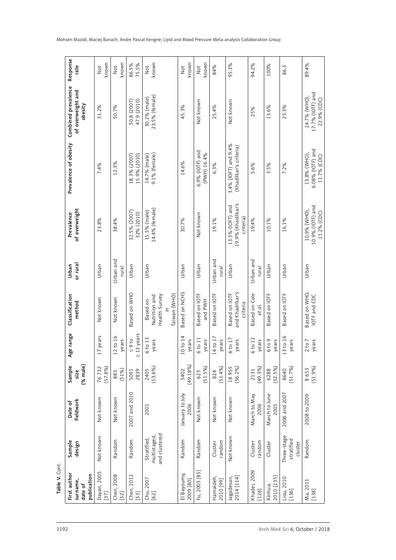| 17.7% (IOTF) and<br>23.5% (female)<br>24.7% (WHO),<br>30.2% (male)<br>22.9% (CDC)<br>Not known<br>50.8 (2007)<br>47.9 (2010)<br>Not known<br>23.3%<br>31.2%<br>50.7%<br>45.3%<br>25.4%<br>13.6%<br>25%<br>3.4% (IOFT) and 9.4%<br>(Khadilkar's criteria)<br>6.08% (IOTF) and<br>6.9% (IOTF) and<br>13.8% (WHO),<br>9.1% (female)<br>(PWH) 16.4%<br>14.7% (male)<br>18.3% (2007)<br>15.9% (2010)<br>11.7% (CDC)<br>12.3%<br>14.6%<br>7.4%<br>6.3%<br>5.6%<br>3.5%<br>7.2%<br>19.9% (Khadilkar's<br>13.5% (IOFT) and<br>10.9% (IOTF) and<br>14.4% (female)<br>10.9% (WHO),<br>15.5% (male)<br>32.5% (2007)<br>11.2% (CDC)<br>32% (2010)<br>Not known<br>criteria)<br>23.8%<br>38.4%<br>30.7%<br>19.1%<br>19.4%<br>16.1%<br>10.1%<br>Urban and<br>Urban and<br>Urban and<br>Urban<br>Urban<br>Urban<br>Urban<br>Urban<br>Urban<br>Urban<br>Urban<br>Urban<br>rural<br>rural<br>rural<br>and Khadilkar's<br>Based on NCHS<br>Based on WHO,<br>Based on WHO<br>Based on IOTF<br>Based on IOTF<br>Based on IOTF<br>Based on IOTF<br>Based on IOTF<br>Based on Cole<br>Health Survey<br>Taiwan (WHO)<br>IOTF and CDC<br>Nutrition and<br>Not known<br>Not known<br>Based on<br>and PWH<br>criteria<br>et al.<br>$\equiv$<br>13 years<br>17 years<br>12 to 16<br>10 to 14<br>13 to 16<br>14 to 17<br>6 to 13<br>6 to 12<br>6 to 17<br>$6\ {\rm to}\ 11$<br>$\leq 9$ to<br>6 to 9<br>2 to 7<br>years<br>years<br>years<br>years<br>years<br>years<br>years<br>years<br>years<br>years<br>$\wedge$<br>(49.18%)<br>(57.8%<br>2405<br>(53.6%)<br>(51.4%)<br>$(51.5\%)$<br>$(56.2\%)$<br>(49.3%<br>8653<br>(51.9%)<br>$(52.5\%)$<br>(51.7%)<br>76732<br>18955<br>(51%)<br>6288<br>8640<br>2839<br>5402<br>2131<br>5091<br>824<br>883<br>623<br>2007 and 2010<br>2006 and 2007<br>January to July<br>March to June<br>March to May<br>2008 to 2009<br>Not known<br>Not known<br>Not known<br>Not known<br>Not known<br>2006<br>2006<br>2005<br>2001<br>and clustered<br>Three-stage<br>multistaged,<br>Not known<br>Not known<br>Stratified,<br>stratified<br>Random<br>Random<br>Random<br>Random<br>Random<br>random<br>random<br>Cluster<br>Cluster<br>Cluster<br>cluster<br>Khader, 2009<br>Fu, 2003 [85]<br>Dayan, 2005<br>El Bayoumy,<br>Chen, 2008<br>Chen, 2012<br>2014 [114]<br>Hamaideh,<br>2010 [135]<br>Jagadesan,<br>Liou, 2010<br>Chu, 2007<br>2010 [99]<br>2009 [80]<br>Ma, 2011<br>Xinhua,<br>[126]<br>[136]<br>[138]<br>$[53]$<br>[37]<br>$[52]$<br>[62] | First author<br>publication<br>surname,<br>date of | Sample<br>design | fieldwork<br>Date of | (% male)<br>Sample<br>size | ge range<br>⋖ | Classification<br>method | or rural<br>Urban | of overweight<br>Prevalence | Prevalence of obesity | Combined prevalence<br>of overweight and<br>obesity | Response<br>rate |
|-------------------------------------------------------------------------------------------------------------------------------------------------------------------------------------------------------------------------------------------------------------------------------------------------------------------------------------------------------------------------------------------------------------------------------------------------------------------------------------------------------------------------------------------------------------------------------------------------------------------------------------------------------------------------------------------------------------------------------------------------------------------------------------------------------------------------------------------------------------------------------------------------------------------------------------------------------------------------------------------------------------------------------------------------------------------------------------------------------------------------------------------------------------------------------------------------------------------------------------------------------------------------------------------------------------------------------------------------------------------------------------------------------------------------------------------------------------------------------------------------------------------------------------------------------------------------------------------------------------------------------------------------------------------------------------------------------------------------------------------------------------------------------------------------------------------------------------------------------------------------------------------------------------------------------------------------------------------------------------------------------------------------------------------------------------------------------------------------------------------------------------------------------------------------------------------------------------------------------------------------------------------------------------------------------------------------------------------------------------------------------------------------------------------------------------------------------------|----------------------------------------------------|------------------|----------------------|----------------------------|---------------|--------------------------|-------------------|-----------------------------|-----------------------|-----------------------------------------------------|------------------|
|                                                                                                                                                                                                                                                                                                                                                                                                                                                                                                                                                                                                                                                                                                                                                                                                                                                                                                                                                                                                                                                                                                                                                                                                                                                                                                                                                                                                                                                                                                                                                                                                                                                                                                                                                                                                                                                                                                                                                                                                                                                                                                                                                                                                                                                                                                                                                                                                                                                             |                                                    |                  |                      |                            |               |                          |                   |                             |                       |                                                     | known<br>Not     |
|                                                                                                                                                                                                                                                                                                                                                                                                                                                                                                                                                                                                                                                                                                                                                                                                                                                                                                                                                                                                                                                                                                                                                                                                                                                                                                                                                                                                                                                                                                                                                                                                                                                                                                                                                                                                                                                                                                                                                                                                                                                                                                                                                                                                                                                                                                                                                                                                                                                             |                                                    |                  |                      |                            |               |                          |                   |                             |                       |                                                     | known<br>Not     |
|                                                                                                                                                                                                                                                                                                                                                                                                                                                                                                                                                                                                                                                                                                                                                                                                                                                                                                                                                                                                                                                                                                                                                                                                                                                                                                                                                                                                                                                                                                                                                                                                                                                                                                                                                                                                                                                                                                                                                                                                                                                                                                                                                                                                                                                                                                                                                                                                                                                             |                                                    |                  |                      |                            |               |                          |                   |                             |                       |                                                     | 75.5%<br>86.5%   |
|                                                                                                                                                                                                                                                                                                                                                                                                                                                                                                                                                                                                                                                                                                                                                                                                                                                                                                                                                                                                                                                                                                                                                                                                                                                                                                                                                                                                                                                                                                                                                                                                                                                                                                                                                                                                                                                                                                                                                                                                                                                                                                                                                                                                                                                                                                                                                                                                                                                             |                                                    |                  |                      |                            |               |                          |                   |                             |                       |                                                     | known<br>Not     |
|                                                                                                                                                                                                                                                                                                                                                                                                                                                                                                                                                                                                                                                                                                                                                                                                                                                                                                                                                                                                                                                                                                                                                                                                                                                                                                                                                                                                                                                                                                                                                                                                                                                                                                                                                                                                                                                                                                                                                                                                                                                                                                                                                                                                                                                                                                                                                                                                                                                             |                                                    |                  |                      |                            |               |                          |                   |                             |                       |                                                     | known<br>Not     |
|                                                                                                                                                                                                                                                                                                                                                                                                                                                                                                                                                                                                                                                                                                                                                                                                                                                                                                                                                                                                                                                                                                                                                                                                                                                                                                                                                                                                                                                                                                                                                                                                                                                                                                                                                                                                                                                                                                                                                                                                                                                                                                                                                                                                                                                                                                                                                                                                                                                             |                                                    |                  |                      |                            |               |                          |                   |                             |                       |                                                     | known<br>Not     |
|                                                                                                                                                                                                                                                                                                                                                                                                                                                                                                                                                                                                                                                                                                                                                                                                                                                                                                                                                                                                                                                                                                                                                                                                                                                                                                                                                                                                                                                                                                                                                                                                                                                                                                                                                                                                                                                                                                                                                                                                                                                                                                                                                                                                                                                                                                                                                                                                                                                             |                                                    |                  |                      |                            |               |                          |                   |                             |                       |                                                     | 84%              |
|                                                                                                                                                                                                                                                                                                                                                                                                                                                                                                                                                                                                                                                                                                                                                                                                                                                                                                                                                                                                                                                                                                                                                                                                                                                                                                                                                                                                                                                                                                                                                                                                                                                                                                                                                                                                                                                                                                                                                                                                                                                                                                                                                                                                                                                                                                                                                                                                                                                             |                                                    |                  |                      |                            |               |                          |                   |                             |                       |                                                     | 95.3%            |
|                                                                                                                                                                                                                                                                                                                                                                                                                                                                                                                                                                                                                                                                                                                                                                                                                                                                                                                                                                                                                                                                                                                                                                                                                                                                                                                                                                                                                                                                                                                                                                                                                                                                                                                                                                                                                                                                                                                                                                                                                                                                                                                                                                                                                                                                                                                                                                                                                                                             |                                                    |                  |                      |                            |               |                          |                   |                             |                       |                                                     | 94.2%            |
|                                                                                                                                                                                                                                                                                                                                                                                                                                                                                                                                                                                                                                                                                                                                                                                                                                                                                                                                                                                                                                                                                                                                                                                                                                                                                                                                                                                                                                                                                                                                                                                                                                                                                                                                                                                                                                                                                                                                                                                                                                                                                                                                                                                                                                                                                                                                                                                                                                                             |                                                    |                  |                      |                            |               |                          |                   |                             |                       |                                                     | 100%             |
|                                                                                                                                                                                                                                                                                                                                                                                                                                                                                                                                                                                                                                                                                                                                                                                                                                                                                                                                                                                                                                                                                                                                                                                                                                                                                                                                                                                                                                                                                                                                                                                                                                                                                                                                                                                                                                                                                                                                                                                                                                                                                                                                                                                                                                                                                                                                                                                                                                                             |                                                    |                  |                      |                            |               |                          |                   |                             |                       |                                                     | 86.3             |
|                                                                                                                                                                                                                                                                                                                                                                                                                                                                                                                                                                                                                                                                                                                                                                                                                                                                                                                                                                                                                                                                                                                                                                                                                                                                                                                                                                                                                                                                                                                                                                                                                                                                                                                                                                                                                                                                                                                                                                                                                                                                                                                                                                                                                                                                                                                                                                                                                                                             |                                                    |                  |                      |                            |               |                          |                   |                             |                       |                                                     | 89.4%            |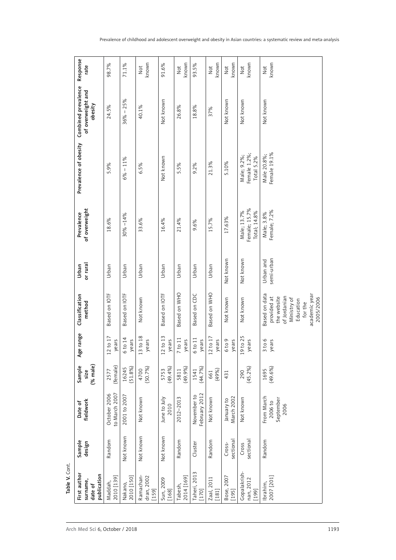| fieldwork                                  | (% male)<br>Sample<br>size | Age range         | Classification<br>method                                                                                                         | or rural<br>Urban       | of overweight<br>Prevalence                  | Prevalence of obesity                     | Combined prevalence<br>of overweight and<br>obesity | Response<br>rate |
|--------------------------------------------|----------------------------|-------------------|----------------------------------------------------------------------------------------------------------------------------------|-------------------------|----------------------------------------------|-------------------------------------------|-----------------------------------------------------|------------------|
| to March 2007<br>October 2006              | (female)<br>2577           | 12 to 17<br>years | Based on IOTF                                                                                                                    | Urban                   | 18.6%                                        | 5.9%                                      | 24.5%                                               | 98.7%            |
| 2001 to 2007                               | (51.8%<br>16245            | 6 to 14<br>years  | Based on IOTF                                                                                                                    | Urban                   | $30\% - 14\%$                                | $6\% - 11\%$                              | $36\% - 25\%$                                       | 71.1%            |
| Not known                                  | (50.7%)<br>4700            | 13 to 18<br>years | Not known                                                                                                                        | Urban                   | 33.6%                                        | 6.5%                                      | 40.1%                                               | known<br>Not     |
| June to July<br>2010                       | (49.4%)<br>5753            | 12 to 13<br>years | Based on IOTF                                                                                                                    | Urban                   | 16.4%                                        | Not known                                 | Not known                                           | 91.6%            |
| 2012-2013                                  | (49.9%<br>5811             | 7 to 11<br>years  | Based on WHO                                                                                                                     | Urban                   | 21.4%                                        | 5.5%                                      | 26.8%                                               | known<br>Not     |
| February 2012<br>November to               | (44.7%)<br>1541            | 6 to 11<br>years  | Based on CDC                                                                                                                     | Urban                   | 9.6%                                         | 9.2%                                      | 18.8%                                               | 93.5%            |
| Not known                                  | (49%)<br>661               | 12 to 17<br>years | Based on WHO                                                                                                                     | Urban                   | 15.7%                                        | 21.3%                                     | 37%                                                 | known<br>Not     |
| March 2002<br>January to                   | 431                        | 6 to 9<br>years   | Not known                                                                                                                        | Not known               | 17.63%                                       | 5.10%                                     | Not known                                           | known<br>Not     |
| Not known                                  | (45.2%)<br>290             | 19 to 25<br>years | Not known                                                                                                                        | Not known               | Female; 15.7%<br>Male; 13.7%<br>Total; 14.8% | Female 1.2%;<br>Male; 9.2%;<br>Total 5.2% | Not known                                           | known<br>Not     |
| From March<br>September<br>2006 to<br>2006 | (49.6%)<br>1695            | 3 to 6<br>years   | Based on data<br>academic year<br>of Jordanian<br>the website<br>provided at<br>2005/2006<br>Ministry of<br>Education<br>for the | semi-urban<br>Urban and | Female; 7.2%<br>Male; 3.8%                   | Female 19.1%<br>Male 20.8%;               | Not known                                           | known<br>Not     |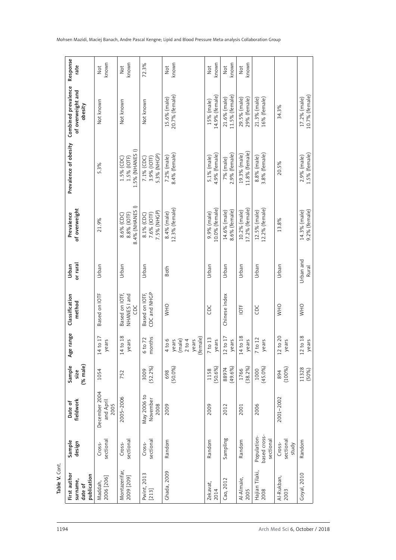| First author<br>publication<br>surname,<br>date of | Sample<br>design                         | fieldwork<br>Date of               | (% male)<br>Sample<br>size | ge range<br>⋖                                                | Classification<br>method              | or rural<br>Urban  | of overweight<br>Prevalence                  | Prevalence of obesity                        | Combined prevalence<br>of overweight and<br>obesity | Response<br>rate |
|----------------------------------------------------|------------------------------------------|------------------------------------|----------------------------|--------------------------------------------------------------|---------------------------------------|--------------------|----------------------------------------------|----------------------------------------------|-----------------------------------------------------|------------------|
| 2006 [206]<br>Maddah,                              | sectional<br>Cross-                      | December 2004<br>and April<br>2005 | 1054                       | 14 to 17<br>years                                            | Based on IOTF                         | Urban              | 21.9%                                        | 5.3%                                         | Not known                                           | known<br>Not     |
| Montazerifar,<br>2009 [209]                        | sectional<br>Cross-                      | 2005-2006                          | 752                        | 14 to 18<br>years                                            | Based on IOTF,<br>NHANES I and<br>GDC | Urban              | 8.4% (NHANES I)<br>8.8% (IOTF)<br>8.6% (CDC) | 1.5% (NHANES I)<br>1.5% (IOTF)<br>1.5% (CDC) | Not known                                           | known<br>Not     |
| Pwint, 2013<br>[213]                               | sectional<br>Cross-                      | May 2006 to<br>November<br>2008    | $(52.2\%)$<br>3009         | months<br>6 to 72                                            | CDC and NHGP<br>Based on IOTF,        | Urban              | 7.5% (NHGP)<br>7.6% (IOTF)<br>8.1% (CDC)     | 5.3% (NHGP)<br>3.9% (IOTF)<br>7.1% (CDC)     | Not known                                           | 72.3%            |
| Ghada, 2009                                        | Random                                   | 2009                               | $(50.0\%)$<br>698          | (female)<br>4 to 6<br>(male)<br>$2$ to $4$<br>years<br>years | <b>OHW</b>                            | <b>Both</b>        | 12.3% (female)<br>8.4% (male)                | 8.4% (female)<br>7.2% (male)                 | 20.7% (female)<br>15.6% (male)                      | known<br>Not     |
| Zekavat,<br>2014                                   | Random                                   | 2009                               | $(50.6\%)$<br>1158         | $7$ to $13$<br>years                                         | GDC                                   | Urban              | 10.0% (female)<br>9.9% (male)                | 4.9% (female)<br>5.1% (male)                 | 14.9% (female)<br>15% (male)                        | known<br>Not     |
| Cao, 2012                                          | Sampling                                 | 2012                               | (49.6%<br>88974            | 12 to 17<br>years                                            | Chinese index                         | Urban              | 8.6% (female)<br>14.6% (male)                | 2.9% (female)<br>7% (male)                   | 11.5% (female)<br>21.6% (male)                      | known<br>Not     |
| Al-Almaie,<br>2005                                 | Random                                   | 2001                               | $(38.2\%)$<br>1766         | 14 to 18<br>years                                            | IOTF                                  | Urban              | 17.2% (female)<br>10.2% (male)               | 11.8% (female)<br>19.3% (male)               | 29.5% (male)<br>29% (female)                        | known<br>Not     |
| Hajian Tilaki,<br>2008                             | based cross-<br>Population-<br>sectional | 2006                               | $(45.0\%)$<br>1000         | 7 to 12<br>years                                             | GDC                                   | Urban              | 12.2% (female)<br>12.5% (male)               | 3.8% (female)<br>8.8% (male)                 | 16% (female)<br>$21.3%$ (male)                      |                  |
| Al-Rukban,<br>2003                                 | sectional<br>Cross-<br>study             | 2001-2002                          | (100%)<br>894              | 12 to 20<br>years                                            | <b>OHM</b>                            | Urban              | 13.8%                                        | 20.5%                                        | 34.3%                                               |                  |
| Goyal, 2010                                        | Random                                   |                                    | 11328<br>(50%)             | 12 to 18<br>years                                            | <b>OHW</b>                            | Urban and<br>Rural | 9.2% (female)<br>14.3% (male)                | 1.5% (female)<br>2.9% (male)                 | 10.7% (female)<br>17.2% (male)                      |                  |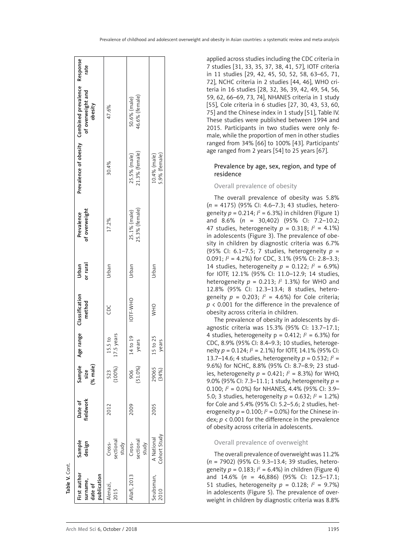| Response<br>rate                                    |                                  |                                |                               | applied across studies including the CDC criteria in<br>7 studies [31, 33, 35, 37, 38, 41, 57], IOTF criteria<br>in 11 studies [29, 42, 45, 50, 52, 58, 63-65, 71,<br>72], NCHC criteria in 2 studies [44, 46], WHO cri-                                                                                                                                                                                                             |
|-----------------------------------------------------|----------------------------------|--------------------------------|-------------------------------|--------------------------------------------------------------------------------------------------------------------------------------------------------------------------------------------------------------------------------------------------------------------------------------------------------------------------------------------------------------------------------------------------------------------------------------|
| Combined prevalence<br>of overweight and<br>obesity | 47.6%                            | 46.6% (female)<br>50.6% (male) |                               | teria in 16 studies [28, 32, 36, 39, 42, 49, 54, 56,<br>59, 62, 66-69, 73, 74], NHANES criteria in 1 study<br>[55], Cole criteria in 6 studies [27, 30, 43, 53, 60,<br>75] and the Chinese index in 1 study [51], Table IV.<br>These studies were published between 1994 and<br>2015. Participants in two studies were only fe-<br>male, while the proportion of men in other studies                                                |
| Prevalence of obesity                               | 30.4%                            | 21.3% (female)<br>25.5% (male) | 5.9% (female)<br>10.4% (male) | ranged from 34% [66] to 100% [43]. Participants'<br>age ranged from 2 years [54] to 25 years [67].<br>Prevalence by age, sex, region, and type of<br>residence<br>Overall prevalence of obesity                                                                                                                                                                                                                                      |
| of overweight<br>Prevalence                         | 17.2%                            | 25.3% (female)<br>25.1% (male) |                               | The overall prevalence of obesity was 5.8%<br>$(n = 4175)$ (95% CI: 4.6-7.3; 43 studies, hetero-<br>geneity $p = 0.214$ ; $l^2 = 6.3\%$ ) in children (Figure 1)<br>and 8.6% $(n = 30,402)$ (95% CI: 7.2-10.2;<br>47 studies, heterogeneity $p = 0.318$ ; $l^2 = 4.1\%$<br>in adolescents (Figure 3). The prevalence of obe-<br>sity in children by diagnostic criteria was 6.7%<br>(95% CI: 6.1–7.5; 7 studies, heterogeneity $p =$ |
| or rural<br>Urban                                   | Urban                            | Urban                          | Urban                         | 0.091; $l^2 = 4.2\%$ ) for CDC, 3.1% (95% CI: 2.8-3.3;<br>14 studies, heterogeneity $p = 0.122$ ; $l^2 = 6.9\%$<br>for IOTF, 12.1% (95% CI: 11.0-12.9; 14 studies,<br>heterogeneity $p = 0.213$ ; $l^2$ 1.3%) for WHO and                                                                                                                                                                                                            |
| Classification<br>method                            | CDC                              | IOTF-WHO                       | <b>OHM</b>                    | 12.8% (95% Cl: 12.3-13.4; 8 studies, hetero-<br>geneity $p = 0.203$ ; $l^2 = 4.6\%$ ) for Cole criteria;<br>$p$ < 0.001 for the difference in the prevalence of<br>obesity across criteria in children.<br>The prevalence of obesity in adolescents by di-<br>agnostic criteria was 15.3% (95% Cl: 13.7-17.1;                                                                                                                        |
| ge range                                            | 17.5 years<br>15.5 <sub>to</sub> | 14 to 19<br>years              | 15 to 25<br>years             | 4 studies, heterogeneity $p = 0.412$ ; $l^2 = 6.3\%$ ) for<br>CDC, 8.9% (95% CI: 8.4-9.3; 10 studies, heteroge-<br>neity $p = 0.124$ ; $l^2 = 2.1\%$ ) for IOTF, 14.1% (95% CI:<br>13.7–14.6; 4 studies, heterogeneity $p = 0.532$ ; $l^2 =$                                                                                                                                                                                         |
| (% male)<br>Sample<br>size                          | 523<br>(100%)                    | (51.0%)<br>906                 | 29065<br>(34%)                | 9.6%) for NCHC, 8.8% (95% CI: 8.7-8.9; 23 stud-<br>ies, heterogeneity $p = 0.421$ ; $l^2 = 8.3\%$ ) for WHO<br>9.0% (95% CI: 7.3-11.1; 1 study, heterogeneity $p =$<br>0.100; $l^2$ = 0.0%) for NHANES, 4.4% (95% CI: 3.9-                                                                                                                                                                                                           |
| fieldwork<br>Date of                                | 2012                             | 2009                           | 2005                          | 5.0; 3 studies, heterogeneity $p = 0.632$ ; $l^2 = 1.2\%$ )<br>for Cole and 5.4% (95% CI: 5.2-5.6; 2 studies, het-<br>erogeneity $p = 0.100$ ; $l^2 = 0.0\%$ ) for the Chinese in-<br>dex; $p < 0.001$ for the difference in the prevalence<br>of obesity across criteria in adolescents.                                                                                                                                            |
| Sample<br>design                                    | sectional<br>Cross-<br>study     | sectional<br>Cross-<br>study   | Cohort Study<br>A National    | Overall prevalence of overweight<br>The overall prevalence of overweight was 11.2%<br>(n = 7902) (95% CI: 9.3-13.4; 39 studies, hetero-                                                                                                                                                                                                                                                                                              |
| First author<br>publication<br>surname,<br>date of  | Alenazi,<br>2015                 | Allafi, 2013                   | Seubsman,<br>2010             | geneity $p = 0.183$ ; $l^2 = 6.4\%$ ) in children (Figure 4)<br>and 14.6% ( $n = 46,886$ ) (95% CI: 12.5-17.1;<br>51 studies, heterogeneity $p = 0.128$ ; $l^2 = 9.7\%$<br>in adolescents (Figure 5). The prevalence of over-<br>weight in children by diagnostic criteria was 8.8%                                                                                                                                                  |

# Prevalence by age, sex, region, and type of residence

#### Overall prevalence of obesity

#### Overall prevalence of overweight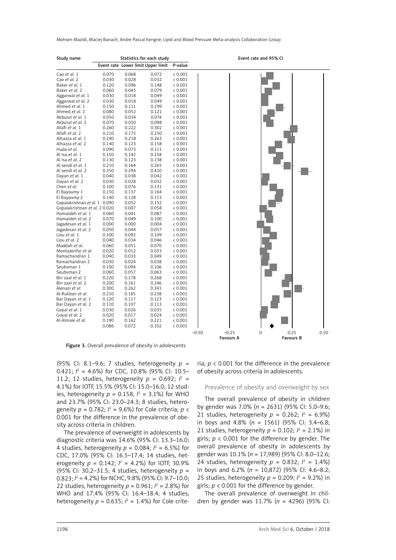|  | Mohsen Mazidi, Maciej Banach, Andre Pascal Kengne; Lipid and Blood Pressure Meta-analysis Collaboration Group |  |
|--|---------------------------------------------------------------------------------------------------------------|--|
|  |                                                                                                               |  |

| Study name                    |       |       | Statistics for each study          |         |         |         | Event rate and 95% CI |      |      |
|-------------------------------|-------|-------|------------------------------------|---------|---------|---------|-----------------------|------|------|
|                               |       |       | Event rate Lower limit Upper limit | P-value |         |         |                       |      |      |
| Cao et al. 1                  | 0.070 | 0.068 | 0.072                              | < 0.001 |         |         |                       |      |      |
| Cao et al. 2                  | 0.030 | 0.028 | 0.032                              | < 0.001 |         |         |                       |      |      |
| Baker et al. 1                | 0.120 | 0.096 | 0.148                              | < 0.001 |         |         |                       |      |      |
| Baker et al. 2                | 0.060 | 0.045 | 0.079                              | < 0.001 |         |         |                       |      |      |
| Aggarwal et al. 1             | 0.030 | 0.018 | 0.049                              | < 0.001 |         |         |                       |      |      |
| Aggarwal et al. 2             | 0.030 | 0.018 | 0.049                              | < 0.001 |         |         |                       |      |      |
| Ahmed et al. 1                | 0.150 | 0.111 | 0.199                              | < 0.001 |         |         |                       |      |      |
| Ahmed et al. 2                | 0.080 | 0.052 | 0.121                              | < 0.001 |         |         |                       |      |      |
| Akbulut et al. 1              | 0.050 | 0.034 | 0.074                              | < 0.001 |         |         |                       |      |      |
| Akbulut et al. 2              | 0.070 | 0.050 | 0.098                              | < 0.001 |         |         |                       |      |      |
| Allafi et al. 1               | 0.260 | 0.222 | 0.302                              | < 0.001 |         |         |                       |      |      |
| Allafi et al. 2               | 0.210 | 0.175 | 0.250                              | < 0.001 |         |         |                       |      |      |
| Alhazza et al. 1              | 0.240 | 0.218 | 0.263                              | < 0.001 |         |         |                       |      |      |
| Alhazza et al. 2              | 0.140 | 0.123 | 0.158                              | 0.001   |         |         |                       |      |      |
| Huda et al.                   | 0.090 | 0.073 | 0.111                              | < 0.001 |         |         |                       |      |      |
| Al Isa et al. 1               | 0.150 | 0.142 | 0.158                              | < 0.001 |         |         |                       |      |      |
| Al Isa et al. 2               | 0.130 | 0.123 | 0.138                              | < 0.001 |         |         |                       |      |      |
| Al sendi et al. 1             | 0.210 | 0.164 | 0.265                              | < 0.001 |         |         |                       |      |      |
| Al sendi et al. 2             | 0.350 | 0.294 | 0.410                              | < 0.001 |         |         |                       |      |      |
| Dayan et al. 1                | 0.040 | 0.038 | 0.042                              | < 0.001 |         |         |                       |      |      |
| Dayan et al. 2                | 0.030 | 0.028 | 0.032                              | < 0.001 |         |         |                       |      |      |
| Chen et al.                   | 0.100 | 0.076 | 0.131                              | < 0.001 |         |         |                       |      |      |
| El Bayoumy 1                  | 0.150 | 0.137 | 0.164                              | < 0.001 |         |         |                       |      |      |
| El Bayoumy 2                  | 0.140 | 0.128 | 0.153                              | < 0.001 |         |         |                       |      |      |
| Gopalakrishnan et al. 1 0.090 |       | 0.052 | 0.152                              | < 0.001 |         |         |                       |      |      |
| Gopalakrishnan et al. 20.020  |       | 0.007 | 0.058                              | < 0.001 |         |         |                       |      |      |
| Hamaideh et al. 1             | 0.060 | 0.041 | 0.087                              | < 0.001 |         |         |                       |      |      |
| Hamaideh et al. 2             | 0.070 | 0.049 | 0.100                              | < 0.001 |         |         |                       |      |      |
| Jagadesan et al. 1            | 0.000 | 0.000 | 0.004                              | < 0.001 |         |         |                       |      |      |
| Jagadesan et al. 2            | 0.050 | 0.044 | 0.057                              | < 0.001 |         |         |                       |      |      |
| Liou et al. 1                 | 0.100 | 0.092 | 0.109                              | < 0.001 |         |         |                       |      |      |
| Liou et al. 2                 | 0.040 | 0.034 | 0.046                              | < 0.001 |         |         |                       |      |      |
| Maddah et al.                 | 0.060 | 0.051 | 0.070                              | < 0.001 |         |         |                       |      |      |
| Montazerifar et al.           | 0.020 | 0.012 | 0.033                              | < 0.001 |         |         |                       |      |      |
| Ramachandran 1                | 0.040 | 0.033 | 0.049                              | < 0.001 |         |         |                       |      |      |
| Ramachandran 2                | 0.030 | 0.024 | 0.038                              | < 0.001 |         |         |                       |      |      |
| Seubsman 1                    | 0.100 | 0.094 | 0.106                              | < 0.001 |         |         |                       |      |      |
| Seubsman 2                    | 0.060 | 0.057 | 0.063                              | < 0.001 |         |         |                       |      |      |
| Bin zaal et al. 1             | 0.220 | 0.178 | 0.268                              | < 0.001 |         |         |                       |      |      |
| Bin zaal et al. 2             | 0.200 | 0.161 | 0.246                              | < 0.001 |         |         |                       |      |      |
| Alenazi et al.                | 0.300 | 0.262 | 0.341                              | < 0.001 |         |         |                       |      |      |
| Al-Rukban et al.              | 0.210 | 0.185 | 0.238                              | < 0.001 |         |         |                       |      |      |
| Bar Dayan et al. 1            | 0.120 | 0.117 | 0.123                              | < 0.001 |         |         |                       |      |      |
| Bar Dayan et al. 2            | 0.110 | 0.107 | 0.113                              | < 0.001 |         |         |                       |      |      |
| Goyal et al. 1                | 0.030 | 0.026 | 0.035                              | < 0.001 |         |         |                       |      |      |
| Goyal et al. 2                | 0.020 | 0.017 | 0.024                              | < 0.001 |         |         |                       |      |      |
| Al-Almaie et al.              | 0.190 | 0.162 | 0.221                              | < 0.001 |         |         |                       |      |      |
|                               | 0.086 | 0.072 | 0.102                              | < 0.001 |         |         |                       |      |      |
|                               |       |       |                                    |         | $-0.50$ | $-0.25$ | $\Omega$              | 0.25 | 0.50 |

Figure 3. Overall prevalence of obesity in adolescents

(95% CI: 8.1–9.6; 7 studies, heterogeneity *p* = 0.421; *I* 2 = 4.6%) for CDC, 10.8% (95% CI: 10.5– 11.2; 12 studies, heterogeneity  $p = 0.692$ ;  $l^2 =$ 4.1%) for IOTF, 15.5% (95% CI: 15.0–16.0; 12 studies, heterogeneity  $p = 0.158$ ;  $l^2 = 3.1\%$ ) for WHO and 23.7% (95% CI: 23.0–24.3; 8 studies, heterogeneity  $p = 0.782$ ;  $l^2 = 9.6\%$ ) for Cole criteria;  $p <$ 0.001 for the difference in the prevalence of obesity across criteria in children.

The prevalence of overweight in adolescents by diagnostic criteria was 14.6% (95% CI: 13.3–16.0; 4 studies, heterogeneity  $p = 0.084$ ;  $l^2 = 6.5\%$ ) for CDC, 17.0% (95% CI: 16.5–17.4; 14 studies, heterogeneity  $p = 0.142$ ;  $l^2 = 4.2$ %) for IOTF, 30.9% (95% CI: 30.2–31.5; 4 studies, heterogeneity *p* = 0.823; *I* 2 = 4.2%) for NCHC, 9.8% (95% CI: 9.7–10.0; 22 studies, heterogeneity  $p = 0.961$ ;  $l^2 = 2.8$ %) for WHO and 17.4% (95% CI: 16.4–18.4; 4 studies, heterogeneity  $p = 0.635$ ;  $l^2 = 1.4$ %) for Cole crite-

ria;  $p < 0.001$  for the difference in the prevalence of obesity across criteria in adolescents.

Favours A Favours B

#### Prevalence of obesity and overweight by sex

The overall prevalence of obesity in children by gender was 7.0% (*n* = 2631) (95% CI: 5.0–9.6; 21 studies, heterogeneity  $p = 0.262$ ;  $l^2 = 6.9\%$ ) in boys and 4.8% (*n* = 1561) (95% CI: 3.4–6.8; 21 studies, heterogeneity  $p = 0.102$ ;  $l^2 = 2.1\%$ ) in girls;  $p \lt 0.001$  for the difference by gender. The overall prevalence of obesity in adolescents by gender was 10.1% (*n* = 17,989) (95% CI: 8.0–12.6; 24 studies, heterogeneity  $p = 0.832$ ;  $l^2 = 1.4\%)$ in boys and 6.2% (*n* = 10,872) (95% CI: 4.6–8.2; 25 studies, heterogeneity  $p = 0.209$ ;  $l^2 = 9.2\%$ ) in girls; *p* < 0.001 for the difference by gender.

The overall prevalence of overweight in children by gender was 11.7% (*n* = 4296) (95% CI: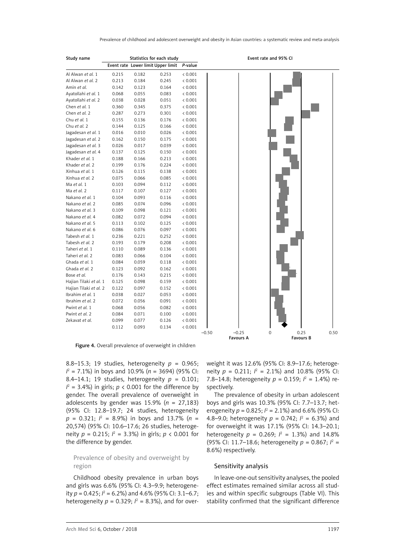| Study name             |       |       | Statistics for each study          |             | Event rate and 95% CI |  |  |
|------------------------|-------|-------|------------------------------------|-------------|-----------------------|--|--|
|                        |       |       | Event rate Lower limit Upper limit | P-value     |                       |  |  |
| Al Alwan et al. 1      | 0.215 | 0.182 | 0.253                              | < 0.001     |                       |  |  |
| Al Alwan et al. 2      | 0.213 | 0.184 | 0.245                              | < 0.001     |                       |  |  |
| Amin et al.            | 0.142 | 0.123 | 0.164                              | < 0.001     |                       |  |  |
| Ayatollahi et al. 1    | 0.068 | 0.055 | 0.083                              | < 0.001     |                       |  |  |
| Ayatollahi et al. 2    | 0.038 | 0.028 | 0.051                              | < 0.001     |                       |  |  |
| Chen et al. 1          | 0.360 | 0.345 | 0.375                              | < 0.001     |                       |  |  |
| Chen et al. 2          | 0.287 | 0.273 | 0.301                              | < 0.001     |                       |  |  |
| Chu et al. 1           | 0.155 | 0.136 | 0.176                              | < 0.001     |                       |  |  |
| Chu et al. 2           | 0.144 | 0.125 | 0.166                              | < 0.001     |                       |  |  |
| Jagadesan et al. 1     | 0.016 | 0.010 | 0.026                              | < 0.001     |                       |  |  |
| Jagadesan et al. 2     | 0.162 | 0.150 | 0.175                              | $< 0.001\,$ |                       |  |  |
| Jagadesan et al. 3     | 0.026 | 0.017 | 0.039                              | $< 0.001\,$ |                       |  |  |
| Jagadesan et al. 4     | 0.137 | 0.125 | 0.150                              | < 0.001     |                       |  |  |
| Khader et al. 1        | 0.188 | 0.166 | 0.213                              | < 0.001     |                       |  |  |
| Khader et al. 2        | 0.199 | 0.176 | 0.224                              | < 0.001     |                       |  |  |
| Xinhua et al. 1        | 0.126 | 0.115 | 0.138                              | < 0.001     |                       |  |  |
| Xinhua et al. 2        | 0.075 | 0.066 | 0.085                              | < 0.001     |                       |  |  |
| Ma et al. 1            | 0.103 | 0.094 | 0.112                              | < 0.001     |                       |  |  |
| Ma et al. 2            | 0.117 | 0.107 | 0.127                              | < 0.001     |                       |  |  |
| Nakano et al. 1        | 0.104 | 0.093 | 0.116                              | < 0.001     |                       |  |  |
| Nakano et al. 2        | 0.085 | 0.074 | 0.096                              | < 0.001     |                       |  |  |
| Nakano et al. 3        | 0.109 | 0.098 | 0.121                              | < 0.001     |                       |  |  |
| Nakano et al. 4        | 0.082 | 0.072 | 0.094                              | < 0.001     |                       |  |  |
| Nakano et al. 5        | 0.113 | 0.102 | 0.125                              | < 0.001     |                       |  |  |
| Nakano et al. 6        | 0.086 | 0.076 | 0.097                              | < 0.001     |                       |  |  |
| Tabesh et al. 1        | 0.236 | 0.221 | 0.252                              | < 0.001     |                       |  |  |
| Tabesh et al. 2        | 0.193 | 0.179 | 0.208                              | < 0.001     |                       |  |  |
| Taheri et al. 1        | 0.110 | 0.089 | 0.136                              | < 0.001     |                       |  |  |
| Taheri et al. 2        | 0.083 | 0.066 | 0.104                              | < 0.001     |                       |  |  |
| Ghada et al. 1         | 0.084 | 0.059 | 0.118                              | < 0.001     |                       |  |  |
| Ghada et al. 2         | 0.123 | 0.092 | 0.162                              | < 0.001     |                       |  |  |
| Bose et al.            | 0.176 | 0.143 | 0.215                              | < 0.001     |                       |  |  |
| Hajian Tilaki et al. 1 | 0.125 | 0.098 | 0.159                              | < 0.001     |                       |  |  |
| Hajian Tilaki et al. 2 | 0.122 | 0.097 | 0.152                              | < 0.001     |                       |  |  |
| Ibrahim et al. 1       | 0.038 | 0.027 | 0.053                              | < 0.001     |                       |  |  |
| Ibrahim et al. 2       | 0.072 | 0.056 | 0.091                              | < 0.001     |                       |  |  |
| Pwint et al. 1         | 0.068 | 0.056 | 0.082                              | < 0.001     |                       |  |  |
| Pwint et al. 2         | 0.084 | 0.071 | 0.100                              | < 0.001     |                       |  |  |
| Zekavat et al.         | 0.099 | 0.077 | 0.126                              | < 0.001     |                       |  |  |
|                        | 0.112 | 0.093 | 0.134                              | < 0.001     |                       |  |  |

Figure 4. Overall prevalence of overweight in children

8.8–15.3; 19 studies, heterogeneity *p* = 0.965; *I* 2 = 7.1%) in boys and 10.9% (*n* = 3694) (95% CI: 8.4–14.1; 19 studies, heterogeneity *p* = 0.101;  $I^2 = 3.4\%$ ) in girls;  $p < 0.001$  for the difference by gender. The overall prevalence of overweight in adolescents by gender was 15.9% (*n* = 27,183) (95% CI: 12.8–19.7; 24 studies, heterogeneity  $p = 0.321; l<sup>2</sup> = 8.9\%)$  in boys and 13.7% (*n* = 20,574) (95% CI: 10.6–17.6; 26 studies, heterogeneity  $p = 0.215$ ;  $l^2 = 3.3\%$ ) in girls;  $p < 0.001$  for the difference by gender.

## Prevalence of obesity and overweight by region

Childhood obesity prevalence in urban boys and girls was 6.6% (95% CI: 4.3–9.9; heterogeneity  $p = 0.425$ ;  $l^2 = 6.2$ %) and 4.6% (95% CI: 3.1–6.7; heterogeneity  $p = 0.329$ ;  $l^2 = 8.3\%$ ), and for overweight it was 12.6% (95% CI: 8.9–17.6; heterogeneity  $p = 0.211$ ;  $l^2 = 2.1\%$ ) and 10.8% (95% CI: 7.8–14.8; heterogeneity  $p = 0.159$ ;  $l^2 = 1.4\%$ ) respectively.

–0.50 –0.25 0 0.25 0.50 Favours A Favours B

The prevalence of obesity in urban adolescent boys and girls was 10.3% (95% CI: 7.7–13.7; heterogeneity  $p = 0.825$ ;  $l^2 = 2.1\%$ ) and 6.6% (95% CI: 4.8–9.0; heterogeneity  $p = 0.742$ ;  $l^2 = 6.3$ %) and for overweight it was 17.1% (95% CI: 14.3–20.1; heterogeneity  $p = 0.269$ ;  $l^2 = 1.3\%$ ) and 14.8% (95% CI: 11.7–18.6; heterogeneity *p* = 0.867; *I* 2 = 8.6%) respectively.

#### Sensitivity analysis

In leave-one-out sensitivity analyses, the pooled effect estimates remained similar across all studies and within specific subgroups (Table VI). This stability confirmed that the significant difference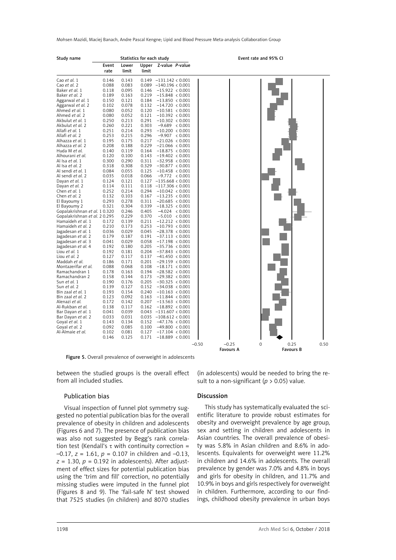Mohsen Mazidi, Maciej Banach, Andre Pascal Kengne; Lipid and Blood Pressure Meta-analysis Collaboration Group

| Study name                             |                |                | Statistics for each study |                                           | Event rate and 95% CI |  |  |
|----------------------------------------|----------------|----------------|---------------------------|-------------------------------------------|-----------------------|--|--|
|                                        | Event<br>rate  | Lower<br>limit | Upper<br>limit            | Z-value P-value                           |                       |  |  |
| Cao et al. 1                           | 0.146          | 0.143          | 0.149                     | $-131.142 < 0.001$                        |                       |  |  |
| Cao et al. 2                           | 0.088          | 0.083          | 0.089                     | $-140.196 < 0.001$                        |                       |  |  |
| Baker et al. 1                         | 0.118          | 0.095          | 0.146                     | $-15.922 < 0.001$                         |                       |  |  |
| Baker et al. 2                         | 0.189          | 0.163          | 0.219                     | $-15.848 < 0.001$                         |                       |  |  |
| Aggarwal et al. 1                      | 0.150          | 0.121          | 0.184                     | $-13.850 < 0.001$                         |                       |  |  |
| Aggarwal et al. 2                      | 0.102          | 0.078          | 0.132                     | $-14.720 \times 0.001$                    |                       |  |  |
| Ahmed et al. 1                         | 0.080          | 0.052          | 0.120                     | $-10.581 < 0.001$                         |                       |  |  |
| Ahmed et al. 2                         | 0.080          | 0.052          | 0.121                     | $-10.392 < 0.001$                         |                       |  |  |
| Akbulut et al. 1                       | 0.250          | 0.213          | 0.291                     | $-10.302 < 0.001$                         |                       |  |  |
| Akbulut et al. 2                       | 0.260          | 0.221          | 0.303                     | $-9.689 < 0.001$                          |                       |  |  |
| Allafi <i>et al</i> . 1                | 0.251          | 0.214          | 0.293                     | $-10.200 < 0.001$                         |                       |  |  |
| Allafi et al. 2                        | 0.253          | 0.215          | 0.296                     | $-9.907 < 0.001$                          |                       |  |  |
| Alhazza <i>et al.</i> 1                | 0.195          | 0.175          | 0.217                     | $-21.026 < 0.001$                         |                       |  |  |
| Alhazza et al. 2                       | 0.208          | 0.188          | 0.229                     | $-21.066 < 0.001$                         |                       |  |  |
| Huda M et al.                          | 0.140          | 0.119          | 0.164                     | $-18.875 < 0.001$                         |                       |  |  |
| Alhourani et al.                       | 0.120          | 0.100          | 0.143                     | $-19.402 < 0.001$                         |                       |  |  |
| Al Isa <i>et al</i> . 1                | 0.300          | 0.290          | 0.311                     | $-32.958 < 0.001$                         |                       |  |  |
| Al Isa et al. 2                        | 0.318          | 0.308          | 0.329                     | $-30.877 < 0.001$                         |                       |  |  |
| Al sendi et al. 1                      | 0.084          | 0.055          | 0.125                     | $-10.458 < 0.001$                         |                       |  |  |
| Al sendi <i>et al</i> . 2              | 0.035          | 0.018          | 0.066                     | $-9.772 \times 0.001$                     |                       |  |  |
| Dayan et al. 1                         | 0.124          | 0.121          | 0.127                     | $-135.668 < 0.001$                        |                       |  |  |
| Dayan et al. 2                         | 0.114          | 0.111          | 0.118                     | $-117.306 < 0.001$                        |                       |  |  |
| Chen et al. 1                          | 0.252          | 0.214          | 0.294                     | $-10.042 < 0.001$                         |                       |  |  |
| Chen et al. 2                          | 0.132          | 0.103          | 0.167                     | $-13.235 \times 0.001$                    |                       |  |  |
| El Bayoumy 1                           | 0.293          | 0.278          | 0.311                     | $-20.685 < 0.001$                         |                       |  |  |
| El Bayoumy 2                           | 0.321          | 0.304          | 0.339                     | $-18.325 \times 0.001$                    |                       |  |  |
| Gopalakrishnan et al. 10.320           |                | 0.246          | 0.405                     | $-4.024 < 0.001$                          |                       |  |  |
| Gopalakrishnan et al. 20.295           |                | 0.229          | 0.370                     | $-5.010 < 0.001$                          |                       |  |  |
| Hamaideh et al. 1                      | 0.172          | 0.139          | 0.211                     | $-12.212 < 0.001$                         |                       |  |  |
| Hamaideh et al. 2                      | 0.210          | 0.173          | 0.253                     | $-10.793 < 0.001$                         |                       |  |  |
| Jagadesan et al. 1                     | 0.036          | 0.029          | 0.045                     | $-28.378 < 0.001$                         |                       |  |  |
| Jagadesan et al. 2                     | 0.179          | 0.187          | 0.191                     | $-37.113 < 0.001$                         |                       |  |  |
| Jagadesan et al. 3                     | 0.041          | 0.029          | 0.058                     | $-17.198 < 0.001$                         |                       |  |  |
| Jagadesan et al. 4                     | 0.192          | 0.180          | 0.205                     | $-35.736 < 0.001$                         |                       |  |  |
| Liou et al. 1                          | 0.192          | 0.181          | 0.204                     | $-37.843 \times 0.001$                    |                       |  |  |
| Liou et al. 2                          | 0.127          | 0.117          | 0.137                     | $-41.450 \le 0.001$                       |                       |  |  |
| Maddah et al.                          | 0.186          | 0.171          | 0.201                     | $-29.159 < 0.001$                         |                       |  |  |
| Montazerifar et al.                    | 0.088          | 0.068          | 0.108                     | $-18.171 < 0.001$                         |                       |  |  |
| Ramachandran 1                         | 0.178          | 0.163          | 0.194                     | $-28.582 < 0.001$                         |                       |  |  |
| Ramachandran 2                         | 0.158          | 0.144          | 0.173                     | $-29.382 < 0.001$                         |                       |  |  |
| Sun et al. 1                           | 0.190          | 0.176          | 0.205                     | $-30.325 < 0.001$                         |                       |  |  |
| Sun et al. 2                           | 0.139          | 0.127          | 0.152                     | $-34.038 < 0.001$                         |                       |  |  |
| Bin zaal et al. 1<br>Bin zaal et al. 2 | 0.193<br>0.123 | 0.154<br>0.092 | 0.240<br>0.163            | $-10.163 < 0.001$<br>$-11.844 \div 0.001$ |                       |  |  |
| Alenazi <i>et al</i> .                 | 0.172          | 0.142          | 0.207                     | $-13.563 \times 0.001$                    |                       |  |  |
| Al-Rukban et al.                       | 0.138          | 0.117          | 0.162                     | $-18.892 < 0.001$                         |                       |  |  |
| Bar Dayan et al. 1                     | 0.041          | 0.039          |                           | $0.043 -131.607 < 0.001$                  |                       |  |  |
| Bar Dayan et al. 2                     | 0.033          | 0.031          | 0.035                     | $-108.612 < 0.001$                        |                       |  |  |
| Goyal et al. 1                         | 0.143          | 0.134          | 0.152                     | $-47.176 < 0.001$                         |                       |  |  |
| Goyal et al. 2                         | 0.092          | 0.085          | 0.100                     | $-49.800 < 0.001$                         |                       |  |  |
| Al-Almaie et al.                       | 0.102          | 0.081          | 0.127                     | $-17.104 < 0.001$                         |                       |  |  |
|                                        | 0.146          | 0.125          | 0.171                     | $-18.889 < 0.001$                         |                       |  |  |
|                                        |                |                |                           |                                           |                       |  |  |

Figure 5. Overall prevalence of overweight in adolescents

between the studied groups is the overall effect from all included studies.

#### Publication bias

Visual inspection of funnel plot symmetry suggested no potential publication bias for the overall prevalence of obesity in children and adolescents (Figures 6 and 7). The presence of publication bias was also not suggested by Begg's rank correlation test (Kendall's  $\tau$  with continuity correction =  $-0.17$ ,  $z = 1.61$ ,  $p = 0.107$  in children and  $-0.13$ ,  $z = 1.30$ ,  $p = 0.192$  in adolescents). After adjustment of effect sizes for potential publication bias using the 'trim and fill' correction, no potentially missing studies were imputed in the funnel plot (Figures 8 and 9). The 'fail-safe N' test showed that 7525 studies (in children) and 8070 studies

## Discussion

This study has systematically evaluated the scientific literature to provide robust estimates for obesity and overweight prevalence by age group, sex and setting in children and adolescents in Asian countries. The overall prevalence of obesity was 5.8% in Asian children and 8.6% in adolescents. Equivalents for overweight were 11.2% in children and 14.6% in adolescents. The overall prevalence by gender was 7.0% and 4.8% in boys and girls for obesity in children, and 11.7% and 10.9% in boys and girls respectively for overweight in children. Furthermore, according to our findings, childhood obesity prevalence in urban boys

(in adolescents) would be needed to bring the re-

–0.50 –0.25 0 0.25 0.50 Favours A Favours B

sult to a non-significant (*p* > 0.05) value.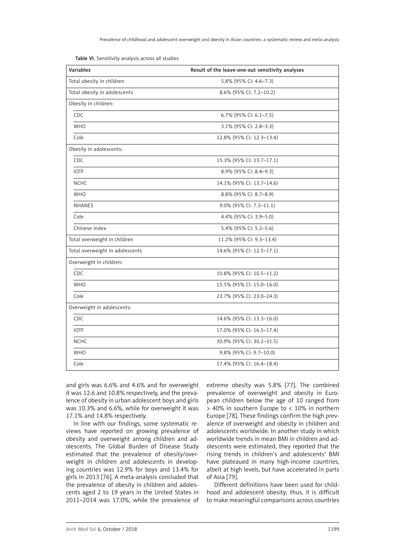| <b>Rabic VI.</b> Scribitivity arialysis across an studies |                                                  |
|-----------------------------------------------------------|--------------------------------------------------|
| Variables                                                 | Result of the leave-one-out sensitivity analyses |
| Total obesity in children                                 | 5.8% (95% Cl: 4.6-7.3)                           |
| Total obesity in adolescents                              | 8.6% (95% CI: 7.2-10.2)                          |
| Obesity in children:                                      |                                                  |
| <b>CDC</b>                                                | 6.7% (95% CI: 6.1-7.5)                           |
| <b>WHO</b>                                                | 3.1% (95% CI: 2.8-3.3)                           |
| Cole                                                      | 12.8% (95% CI: 12.3-13.4)                        |
| Obesity in adolescents:                                   |                                                  |
| <b>CDC</b>                                                | 15.3% (95% CI: 13.7-17.1)                        |
| <b>IOTF</b>                                               | 8.9% (95% CI: 8.4-9.3)                           |
| <b>NCHC</b>                                               | 14.1% (95% CI: 13.7-14.6)                        |
| <b>WHO</b>                                                | 8.8% (95% CI: 8.7-8.9)                           |
| <b>NHANES</b>                                             | 9.0% (95% CI: 7.3-11.1)                          |
| Cole                                                      | 4.4% (95% CI: 3.9-5.0)                           |
| Chinese index                                             | 5.4% (95% CI: 5.2-5.6)                           |
| Total overweight in children                              | 11.2% (95% CI: 9.3-13.4)                         |
| Total overweight in adolescents                           | 14.6% (95% CI: 12.5-17.1)                        |
| Overweight in children:                                   |                                                  |
| CDC                                                       | 10.8% (95% Cl: 10.5-11.2)                        |
| <b>WHO</b>                                                | 15.5% (95% CI: 15.0-16.0)                        |
| Cole                                                      | 23.7% (95% CI: 23.0-24.3)                        |
| Overweight in adolescents:                                |                                                  |
| CDC                                                       | 14.6% (95% Cl: 13.3-16.0)                        |
| <b>IOTF</b>                                               | 17.0% (95% CI: 16.5-17.4)                        |
| <b>NCHC</b>                                               | 30.9% (95% CI: 30.2-31.5)                        |
| <b>WHO</b>                                                | $9.8\%$ (95% CI: 9.7-10.0)                       |
|                                                           |                                                  |

Table VI. Sensitivity analysis across all studies

and girls was 6.6% and 4.6% and for overweight it was 12.6 and 10.8% respectively, and the prevalence of obesity in urban adolescent boys and girls was 10.3% and 6.6%, while for overweight it was 17.1% and 14.8% respectively.

Cole 17.4% (95% CI: 16.4–18.4)

In line with our findings, some systematic reviews have reported on growing prevalence of obesity and overweight among children and adolescents. The Global Burden of Disease Study estimated that the prevalence of obesity/overweight in children and adolescents in developing countries was 12.9% for boys and 13.4% for girls in 2013 [76]. A meta-analysis concluded that the prevalence of obesity in children and adolescents aged 2 to 19 years in the United States in 2011–2014 was 17.0%, while the prevalence of extreme obesity was 5.8% [77]. The combined prevalence of overweight and obesity in European children below the age of 10 ranged from > 40% in southern Europe to < 10% in northern Europe [78]. These findings confirm the high prevalence of overweight and obesity in children and adolescents worldwide. In another study in which worldwide trends in mean BMI in children and adolescents were estimated, they reported that the rising trends in children's and adolescents' BMI have plateaued in many high-income countries, albeit at high levels, but have accelerated in parts of Asia [79].

Different definitions have been used for childhood and adolescent obesity; thus, it is difficult to make meaningful comparisons across countries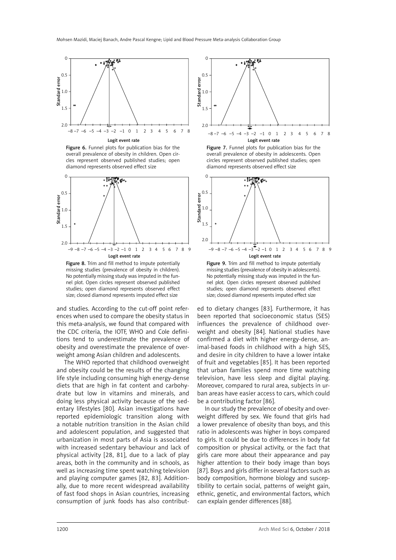

Figure 6. Funnel plots for publication bias for the overall prevalence of obesity in children. Open circles represent observed published studies; open diamond represents observed effect size



missing studies (prevalence of obesity in children). No potentially missing study was imputed in the funnel plot. Open circles represent observed published studies; open diamond represents observed effect size; closed diamond represents imputed effect size

and studies. According to the cut-off point references when used to compare the obesity status in this meta-analysis, we found that compared with the CDC criteria, the IOTF, WHO and Cole definitions tend to underestimate the prevalence of obesity and overestimate the prevalence of overweight among Asian children and adolescents.

The WHO reported that childhood overweight and obesity could be the results of the changing life style including consuming high energy-dense diets that are high in fat content and carbohydrate but low in vitamins and minerals, and doing less physical activity because of the sedentary lifestyles [80]. Asian investigations have reported epidemiologic transition along with a notable nutrition transition in the Asian child and adolescent population, and suggested that urbanization in most parts of Asia is associated with increased sedentary behaviour and lack of physical activity [28, 81], due to a lack of play areas, both in the community and in schools, as well as increasing time spent watching television and playing computer games [82, 83]. Additionally, due to more recent widespread availability of fast food shops in Asian countries, increasing consumption of junk foods has also contribut-



Figure 7. Funnel plots for publication bias for the overall prevalence of obesity in adolescents. Open circles represent observed published studies; open diamond represents observed effect size



Figure 9. Trim and fill method to impute potentially missing studies (prevalence of obesity in adolescents). No potentially missing study was imputed in the funnel plot. Open circles represent observed published studies; open diamond represents observed effect size; closed diamond represents imputed effect size

ed to dietary changes [83]. Furthermore, it has been reported that socioeconomic status (SES) influences the prevalence of childhood overweight and obesity [84]. National studies have confirmed a diet with higher energy-dense, animal-based foods in childhood with a high SES, and desire in city children to have a lower intake of fruit and vegetables [85]. It has been reported that urban families spend more time watching television, have less sleep and digital playing. Moreover, compared to rural area, subjects in urban areas have easier access to cars, which could be a contributing factor [86].

In our study the prevalence of obesity and overweight differed by sex. We found that girls had a lower prevalence of obesity than boys, and this ratio in adolescents was higher in boys compared to girls. It could be due to differences in body fat composition or physical activity, or the fact that girls care more about their appearance and pay higher attention to their body image than boys [87]. Boys and girls differ in several factors such as body composition, hormone biology and susceptibility to certain social, patterns of weight gain, ethnic, genetic, and environmental factors, which can explain gender differences [88].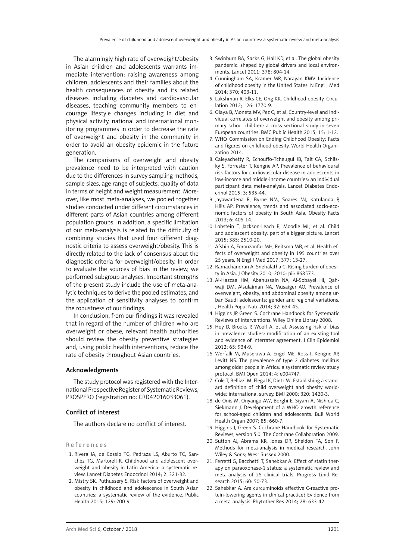The alarmingly high rate of overweight/obesity in Asian children and adolescents warrants immediate intervention: raising awareness among children, adolescents and their families about the health consequences of obesity and its related diseases including diabetes and cardiovascular diseases, teaching community members to encourage lifestyle changes including in diet and physical activity, national and international monitoring programmes in order to decrease the rate of overweight and obesity in the community in order to avoid an obesity epidemic in the future generation.

The comparisons of overweight and obesity prevalence need to be interpreted with caution due to the differences in survey sampling methods, sample sizes, age range of subjects, quality of data in terms of height and weight measurement. Moreover, like most meta-analyses, we pooled together studies conducted under different circumstances in different parts of Asian countries among different population groups. In addition, a specific limitation of our meta-analysis is related to the difficulty of combining studies that used four different diagnostic criteria to assess overweight/obesity. This is directly related to the lack of consensus about the diagnostic criteria for overweight/obesity. In order to evaluate the sources of bias in the review, we performed subgroup analyses. Important strengths of the present study include the use of meta-analytic techniques to derive the pooled estimates, and the application of sensitivity analyses to confirm the robustness of our findings.

In conclusion, from our findings it was revealed that in regard of the number of children who are overweight or obese, relevant health authorities should review the obesity preventive strategies and, using public health interventions, reduce the rate of obesity throughout Asian countries.

#### Acknowledgments

The study protocol was registered with the International Prospective Register of Systematic Reviews, PROSPERO (registration no: CRD42016033061).

#### Conflict of interest

The authors declare no conflict of interest.

#### References

- 1. Rivera JA, de Cossio TG, Pedraza LS, Aburto TC, Sanchez TG, Martorell R. Childhood and adolescent overweight and obesity in Latin America: a systematic review. Lancet Diabetes Endocrinol 2014; 2: 321-32.
- 2. Mistry SK, Puthussery S. Risk factors of overweight and obesity in childhood and adolescence in South Asian countries: a systematic review of the evidence. Public Health 2015; 129: 200-9.
- 3. Swinburn BA, Sacks G, Hall KD, et al. The global obesity pandemic: shaped by global drivers and local environments. Lancet 2011; 378: 804-14.
- 4. Cunningham SA, Kramer MR, Narayan KMV. Incidence of childhood obesity in the United States. N Engl J Med 2014; 370: 403-11.
- 5. Lakshman R, Elks CE, Ong KK. Childhood obesity. Circulation 2012; 126: 1770-9.
- 6. Olaya B, Moneta MV, Pez O, et al. Country-level and individual correlates of overweight and obesity among primary school children: a cross-sectional study in seven European countries. BMC Public Health 2015; 15: 1-12.
- 7. WHO. Commission on Ending Childhood Obesity: Facts and figures on childhood obesity. World Health Organization 2014.
- 8. Caleyachetty R, Echouffo-Tcheugui JB, Tait CA, Schilsky S, Forrester T, Kengne AP. Prevalence of behavioural risk factors for cardiovascular disease in adolescents in low-income and middle-income countries: an individual participant data meta-analysis. Lancet Diabetes Endocrinol 2015; 3: 535-44.
- 9. Jayawardena R, Byrne NM, Soares MJ, Katulanda P, Hills AP. Prevalence, trends and associated socio-economic factors of obesity in South Asia. Obesity Facts 2013; 6: 405-14.
- 10. Lobstein T, Jackson-Leach R, Moodie ML, et al. Child and adolescent obesity: part of a bigger picture. Lancet 2015; 385: 2510-20.
- 11. Afshin A, Forouzanfar MH, Reitsma MB, et al. Health effects of overweight and obesity in 195 countries over 25 years. N Engl J Med 2017; 377: 13-27.
- 12. Ramachandran A, Snehalatha C. Rising burden of obesity in Asia. J Obesity 2010; 2010: pii: 868573.
- 13. Al-Hazzaa HM, Abahussain NA, Al-Sobayel HI, Qahwaji DM, Alsulaiman NA, Musaiger AO. Prevalence of overweight, obesity, and abdominal obesity among urban Saudi adolescents: gender and regional variations. J Health Popul Nutr 2014; 32: 634-45.
- 14. Higgins JP, Green S. Cochrane Handbook for Systematic Reviews of Interventions. Wiley Online Library 2008.
- 15. Hoy D, Brooks P, Woolf A, et al. Assessing risk of bias in prevalence studies: modification of an existing tool and evidence of interrater agreement. J Clin Epidemiol 2012; 65: 934-9.
- 16. Werfalli M, Musekiwa A, Engel ME, Ross I, Kengne AP, Levitt NS. The prevalence of type 2 diabetes mellitus among older people in Africa: a systematic review study protocol. BMJ Open 2014; 4: e004747.
- 17. Cole T, Bellizzi M, Flegal K, Dietz W. Establishing a standard definition of child overweight and obesity worldwide: international survey. BMJ 2000; 320: 1420-3.
- 18. de Onis M, Onyango AW, Borghi E, Siyam A, Nishida C, Siekmann J. Development of a WHO growth reference for school-aged children and adolescents. Bull World Health Organ 2007; 85: 660-7.
- 19. Higgins J, Green S. Cochrane Handbook for Systematic Reviews, version 5.0. The Cochrane Collaboration 2009.
- 20. Sutton AJ, Abrams KR, Jones DR, Sheldon TA, Son F. Methods for meta-analysis in medical research. John Wiley & Sons; West Sussex 2000.
- 21. Ferretti G, Bacchetti T, Sahebkar A. Effect of statin therapy on paraoxonase-1 status: a systematic review and meta-analysis of 25 clinical trials. Progress Lipid Research 2015; 60: 50-73.
- 22. Sahebkar A. Are curcuminoids effective C-reactive protein-lowering agents in clinical practice? Evidence from a meta-analysis. Phytother Res 2014; 28: 633-42.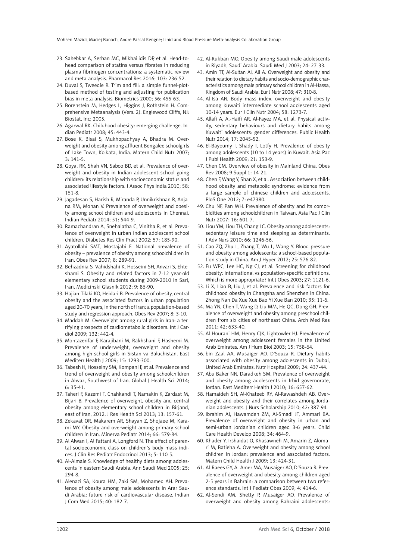- 23. Sahebkar A, Serban MC, Mikhailidis DP et al. Head-tohead comparison of statins versus fibrates in reducing plasma fibrinogen concentrations: a systematic review and meta-analysis. Pharmacol Res 2016; 103: 236-52.
- 24. Duval S, Tweedie R. Trim and fill: a simple funnel-plotbased method of testing and adjusting for publication bias in meta-analysis. Biometrics 2000; 56: 455-63.
- 25. Borenstein M, Hedges L, Higgins J, Rothstein H. Comprehensive Metaanalysis (Vers. 2). Englewood Cliffs, NJ: Biostat. Inc; 2005.
- 26. Agarwal RK. Childhood obesity: emerging challenge. Indian Pediatr 2008; 45: 443-4.
- 27. Bose K, Bisai S, Mukhopadhyay A, Bhadra M. Overweight and obesity among affluent Bengalee schoolgirls of Lake Town, Kolkata, India. Matern Child Nutr 2007; 3: 141-5.
- 28. Goyal RK, Shah VN, Saboo BD, et al. Prevalence of overweight and obesity in Indian adolescent school going children: its relationship with socioeconomic status and associated lifestyle factors. J Assoc Phys India 2010; 58: 151-8.
- 29. Jagadesan S, Harish R, Miranda P, Unnikrishnan R, Anjana RM, Mohan V. Prevalence of overweight and obesity among school children and adolescents in Chennai. Indian Pediatr 2014; 51: 544-9.
- 30. Ramachandran A, Snehalatha C, Vinitha R, et al. Prevalence of overweight in urban Indian adolescent school children. Diabetes Res Clin Pract 2002; 57: 185-90.
- 31. Ayatollahi SMT, Mostajabi F. National prevalence of obesity – prevalence of obesity among schoolchildren in Iran. Obes Rev 2007; 8: 289-91.
- 32. Behzadnia S, Vahidshahi K, Hosseini SH, Anvari S, Ehteshami S. Obesity and related factors in 7-12 year-old elementary school students during 2009-2010 in Sari, Iran. Medicinski Glasnik 2012; 9: 86-90.
- 33. Hajian-Tilaki KO, Heidari B. Prevalence of obesity, central obesity and the associated factors in urban population aged 20-70 years, in the north of Iran: a population-based study and regression approach. Obes Rev 2007; 8: 3-10.
- 34. Maddah M. Overweight among rural girls in Iran: a terrifying prospects of cardiometabolic disorders. Int J Cardiol 2009; 132: 442-4.
- 35. Montazerifar F, Karajibani M, Rakhshani F, Hashemi M. Prevalence of underweight, overweight and obesity among high-school girls in Sistan va Baluchistan. East Mediterr Health J 2009; 15: 1293-300.
- 36. Tabesh H, Hosseiny SM, Kompani F, et al. Prevalence and trend of overweight and obesity among schoolchildren in Ahvaz, Southwest of Iran. Global J Health Sci 2014; 6: 35-41.
- 37. Taheri F, Kazemi T, Chahkandi T, Namakin K, Zardast M, Bijari B. Prevalence of overweight, obesity and central obesity among elementary school children in Birjand, east of Iran, 2012. J Res Health Sci 2013; 13: 157-61.
- 38. Zekavat OR, Makarem AR, Shayan Z, Shojaee M, Karami MY. Obesity and overweight among primary school children in Iran. Minerva Pediatr 2014; 66: 579-84.
- 39. Al Alwan I, Al Fattani A, Longford N. The effect of parental socioeconomic class on children's body mass indices. J Clin Res Pediatr Endocrinol 2013; 5: 110-5.
- 40. Al-Almaie S. Knowledge of healthy diets among adolescents in eastern Saudi Arabia. Ann Saudi Med 2005; 25: 294-8.
- 41. Alenazi SA, Koura HM, Zaki SM, Mohamed AH. Prevalence of obesity among male adolescents in Arar Saudi Arabia: future risk of cardiovascular disease. Indian J Com Med 2015; 40: 182-7.
- 42. Al-Rukban MO. Obesity among Saudi male adolescents in Riyadh, Saudi Arabia. Saudi Med J 2003; 24: 27-33.
- 43. Amin TT, Al-Sultan AI, Ali A. Overweight and obesity and their relation to dietary habits and socio-demographic characteristics among male primary school children in Al-Hassa, Kingdom of Saudi Arabia. Eur J Nutr 2008; 47: 310-8.
- 44. Al-Isa AN. Body mass index, overweight and obesity among Kuwaiti intermediate school adolescents aged 10-14 years. Eur J Clin Nutr 2004; 58: 1273-7.
- 45. Allafi A, Al-Haifi AR, Al-Fayez MA, et al. Physical activity, sedentary behaviours and dietary habits among Kuwaiti adolescents: gender differences. Public Health Nutr 2014; 17: 2045-52.
- 46. El-Bayoumy I, Shady I, Lotfy H. Prevalence of obesity among adolescents (10 to 14 years) in Kuwait. Asia Pac J Publ Health 2009; 21: 153-9.
- 47. Chen CM. Overview of obesity in Mainland China. Obes Rev 2008; 9 Suppl 1: 14-21.
- 48. Chen F, Wang Y, Shan X, et al. Association between childhood obesity and metabolic syndrome: evidence from a large sample of chinese children and adolescents. PloS One 2012; 7: e47380.
- 49. Chu NF, Pan WH. Prevalence of obesity and its comorbidities among schoolchildren in Taiwan. Asia Pac J Clin Nutr 2007; 16: 601-7.
- 50. Liou YM, Liou TH, Chang LC. Obesity among adolescents: sedentary leisure time and sleeping as determinants. J Adv Nurs 2010; 66: 1246-56.
- 51. Cao ZQ, Zhu L, Zhang T, Wu L, Wang Y. Blood pressure and obesity among adolescents: a school-based population study in China. Am J Hyper 2012; 25: 576-82.
- 52. Fu WPC, Lee HC, Ng CJ, et al. Screening for childhood obesity: international vs population-specific definitions. Which is more appropriate? Int J Obes 2003; 27: 1121-6.
- 53. Li X, Liao B, Liu J, et al. Prevalence and risk factors for childhood obesity in Changsha and Shenzhen in China. Zhong Nan Da Xue Xue Bao Yi Xue Ban 2010; 35: 11-6.
- 54. Ma YN, Chen T, Wang D, Liu MM, He QC, Dong GH. Prevalence of overweight and obesity among preschool children from six cities of northeast China. Arch Med Res 2011; 42: 633-40.
- 55. Al-Hourani HM, Henry CJK, Lightowler HJ. Prevalence of overweight among adolescent females in the United Arab Emirates. Am J Hum Biol 2003; 15: 758-64.
- 56. bin Zaal AA, Musaiger AO, D'Souza R. Dietary habits associated with obesity among adolescents in Dubai, United Arab Emirates. Nutr Hospital 2009; 24: 437-44.
- 57. Abu Baker NN, Daradkeh SM. Prevalence of overweight and obesity among adolescents in Irbid governorate, Jordan. East Mediterr Health J 2010; 16: 657-62.
- 58. Hamaideh SH, Al-Khateeb RY, Al-Rawashdeh AB. Overweight and obesity and their correlates among Jordanian adolescents. J Nurs Scholarship 2010; 42: 387-94.
- 59. Ibrahim AI, Hawamdeh ZM, Al-Smadi JT, Ammari BA. Prevalence of overweight and obesity in urban and semi-urban Jordanian children aged 3-6 years. Child Care Health Develop 2008; 34: 464-9.
- 60. Khader Y, Irshaidat O, Khasawneh M, Amarin Z, Alomari M, Batieha A. Overweight and obesity among school children in Jordan: prevalence and associated factors. Matern Child Health J 2009; 13: 424-31.
- 61. Al-Raees GY, Al-Amer MA, Musaiger AO, D'Souza R. Prevalence of overweight and obesity among children aged 2-5 years in Bahrain: a comparison between two reference standards. Int J Pediatr Obes 2009; 4: 414-6.
- 62. Al-Sendi AM, Shetty P, Musaiger AO. Prevalence of overweight and obesity among Bahraini adolescents: